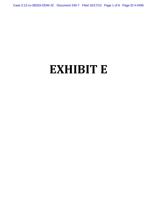Case 2:12-cv-08333-ODW-JC Document 240-7 Filed 10/17/13 Page 1 of 8 Page ID #:4495

# **EXHIBIT E**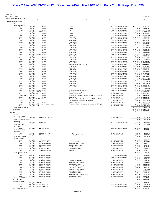Prenda Law

| <b>FIEIIUd Law</b><br>Profit and Loss Detail   |                      |                          |                                            |                                                                    |     |                                                            |                           | 01/03/13                                           |
|------------------------------------------------|----------------------|--------------------------|--------------------------------------------|--------------------------------------------------------------------|-----|------------------------------------------------------------|---------------------------|----------------------------------------------------|
| January through December 2012<br>Type          | Date                 | Num                      | Name                                       | Memo                                                               | Cir | Split                                                      | Amount                    | Balance                                            |
| Ordinary Income/Expense                        |                      |                          |                                            |                                                                    |     |                                                            |                           |                                                    |
| Income                                         |                      |                          |                                            |                                                                    |     |                                                            |                           |                                                    |
| Legal Fee Income<br>Deposit                    | 01/03/12             |                          | Pirates                                    | Chase                                                              |     | Chase Bank OPERATING xx6927                                | 205,654.84                | 205,654.84                                         |
| Deposit                                        | 01/03/12             |                          | Pirates                                    | Chase                                                              |     | Chase Bank OPERATING xx6927                                | 200.00                    | 205,854.84                                         |
| Deposit                                        | 01/03/12             |                          | Pirates                                    | Chase                                                              |     | Chase Bank OPERATING xx6927                                | 42,677.32                 | 248,532.16                                         |
| Check                                          | 01/05/12<br>01/13/12 |                          | 5096 Steele Hansmeier<br>Pirates           | Chase                                                              |     | Chase Bank OPERATING xx6927<br>Chase Bank OPERATING xx6927 | $-2,000.00$<br>38,490.00  | 246,532.16<br>285,022.16                           |
| Deposit<br>Deposit                             | 01/13/12             |                          | Pirates                                    | Chase                                                              |     | Chase Bank OPERATING xx6927                                | 1,769.64                  | 286,791.80                                         |
| Deposit                                        | 02/01/12             |                          | Pirates                                    | From xx6943                                                        |     | Chase Bank OPERATING xx6927                                | 158,349.28                | 445,141.08                                         |
| Deposit                                        | 02/01/12             |                          | Pirates                                    | From xx6943                                                        |     | Chase Bank OPERATING xx6927                                | 27,054.03                 | 472,195.11                                         |
| Deposit<br>Deposit                             | 02/01/12<br>02/01/12 |                          | Pirates<br>Pirates                         | From xx6943<br>From xx6943                                         |     | Chase Bank OPERATING xx6927<br>Chase Bank OPERATING xx6927 | 14,552.31<br>11,682.71    | 486,747.42<br>498,430.13                           |
| Deposit                                        | 02/01/12             |                          | Pirates                                    | From xx6943                                                        |     | Chase Bank OPERATING xx6927                                | 6,196.40                  | 504,626.53                                         |
| Deposit                                        | 02/01/12             |                          | Pirates                                    | From xx6943                                                        |     | Chase Bank OPERATING xx6927                                | 1,152.62                  | 505,779.15                                         |
| Deposit<br>Deposit                             | 02/16/12<br>02/29/12 |                          | Pirates<br>Pirates                         | From xx6943<br>From xx6943                                         |     | Chase Bank OPERATING xx6927<br>Chase Bank OPERATING xx6927 | 2,336.13<br>126,404.01    | 508,115.28<br>634,519.29                           |
| Deposit                                        | 02/29/12             |                          | Pirates                                    | From xx6943                                                        |     | Chase Bank OPERATING xx6927                                | 100,000.00                | 734,519.29                                         |
| Deposit                                        | 02/29/12             |                          | Pirates                                    | From xx6943                                                        |     | Chase Bank OPERATING xx6927                                | 3,357.59                  | 737,876.88                                         |
| Check                                          | 04/03/12             | 02/29/12 ELEC WD Pirates |                                            | To xx6943<br>From xx6943                                           |     | Chase Bank OPERATING xx6927<br>Chase Bank OPERATING xx6927 | $-3,357.59$<br>175,543.74 | 734,519.29<br>910,063.03                           |
| Deposit<br>Deposit                             | 04/13/12             |                          | Pirates<br>Pirates                         | From xx6943                                                        |     | Chase Bank OPERATING xx6927                                | 10,300.00                 | 920,363.03                                         |
| Deposit                                        | 04/24/12             |                          | Pirates                                    | From xx6943                                                        |     | Chase Bank OPERATING xx6927                                | 14,750.00                 | 935,113.03                                         |
| Deposit                                        | 05/01/12             |                          | Pirates                                    | From xx6943                                                        |     | Chase Bank OPERATING xx6927                                |                           | 132,523.14 1,067,636.17                            |
| Deposit<br>Deposit                             | 05/01/12<br>05/01/12 |                          | Pirates<br>Pirates                         | From xx6943<br>Adjustment for Duplicate Item                       |     | Chase Bank OPERATING xx6927<br>Chase Bank OPERATING xx6927 |                           | 3,050.00 1,070,686.17<br>$-2,000.00$ 1,068,686.17  |
| Deposit                                        | 05/29/12             |                          | Pirates                                    | From xx6943                                                        |     | Chase Bank OPERATING xx6927                                |                           | 100,000.00 1,168,686.17                            |
| Deposit                                        | 05/31/12             |                          | Pirates                                    | From xx6943                                                        |     | Chase Bank OPERATING xx6927                                |                           | 100,000.00 1,268,686.17                            |
| Deposit                                        | 06/01/12             |                          | Pirates                                    | From xx6943                                                        |     | Chase Bank OPERATING xx6927                                |                           | 124,939.98 1,393,626.15                            |
| Deposit<br>Deposit                             | 06/04/12<br>06/08/12 |                          | Pirates<br>Pirates                         | From xx6943<br>From xx6943                                         |     | Chase Bank OPERATING xx6927<br>Chase Bank OPERATING xx6927 |                           | 5,693.17 1,399,319.32<br>8,431.11 1,407,750.43     |
| Deposit                                        | 06/18/12             |                          | Pirates                                    | From xx6943                                                        |     | Chase Bank OPERATING xx6927                                |                           | 25,000.00 1,432,750.43                             |
| Deposit                                        | 07/02/12             |                          | Pirates                                    | From xx6943                                                        |     | Chase Bank OPERATING xx6927                                |                           | 50,000.00 1,482,750.43                             |
| Deposit                                        | 07/03/12             |                          | Pirates                                    | From xx6943                                                        |     | Chase Bank OPERATING xx6927                                |                           | 3,777.00 1,486,527.43                              |
| Deposit<br>Deposit                             | 07/05/12<br>07/31/12 |                          | Pirates<br>Pirates                         | From xx6943<br>From xx6943                                         |     | Chase Bank OPERATING xx6927<br>Chase Bank OPERATING xx6927 |                           | 168,029.34 1,654,556.77<br>117,612.32 1,772,169.09 |
| Deposit                                        | 08/10/12             |                          | Pirates                                    | From xx6943                                                        |     | Chase Bank OPERATING xx6927                                |                           | 20,000.00 1,792,169.09                             |
| Deposit                                        | 08/16/12             |                          | Pirates                                    | From xx6943                                                        |     | Chase Bank OPERATING xx6927                                |                           | 6,420.50 1,798,589.59                              |
| Deposit                                        | 09/07/12             |                          | Pirates                                    | From xx6943                                                        |     | Chase Bank OPERATING xx6927<br>Chase Bank OPERATING xx6927 |                           | 17,342.00 1,815,931.59                             |
| Deposit<br>Check                               | 09/14/12             | 10/01/12 ELEC WD         | Pirates<br>Pirates                         | Deposit proc 2x on 8/10/12                                         |     | Chase Bank OPERATING xx6927                                |                           | 3,947.00 1,819,878.59<br>$-2,000.00$ 1,817,878.59  |
| Check                                          |                      | 11/30/12 ELEC WD         | Pirates                                    | Bluepay returned payment                                           |     | 53 IOLTA xx7456                                            |                           | $-100.00$ 1,817,778.59                             |
| Deposit                                        | 12/04/12 WIRE        |                          | Pirates                                    | Transfer to Operating                                              |     | 53 OPERATING xx7365                                        |                           | 49,628.42 1,867,407.01                             |
| General Journal 12/07/12                       |                      |                          | Pirates                                    | Transfer to Operating (Deposits from 11/30-12/3/12)                |     | 53 OPERATING xx7365                                        |                           | 14, 118. 34 1, 881, 525. 35                        |
| Deposit<br>General Journal 12/18/12 TRANS      | 12/14/12             |                          | Pirates<br>Pirates                         | Unidentified<br>Transfer to Operating (Deposits from 12/5-12/7/12) |     | 53 IOLTA xx7456<br>53 OPERATING xx7365                     |                           | 100.00 1,881,625.35<br>8,766.74 1,890,392.09       |
| Deposit                                        | 12/19/12             |                          |                                            | Old check from Law Office of Linardakis                            |     | 53 OPERATING xx7365                                        |                           | 2,000.00 1,892,392.09                              |
| Deposit                                        | 12/21/12             |                          | Pirates                                    | Transfer from IOLTA                                                |     | 53 OPERATING xx7365                                        |                           | 11,585.00 1,903,977.09                             |
| Check<br>General Journal 12/31/12 TRANS        | 12/27/12 WIRE        |                          | Law Office of Linardakis                   | Return for Check inadvertantly deposited on 12/19/12               |     | 53 OPERATING xx7365                                        |                           | $-2,000.00$ 1,901,977.09<br>30,000.00 1,931,977.09 |
| Total Legal Fee Income                         |                      |                          |                                            |                                                                    |     | 53 OPERATING xx7365                                        | 1,931,977.09 1,931,977.09 |                                                    |
| Total Income                                   |                      |                          |                                            |                                                                    |     |                                                            | 1,931,977.09 1,931,977.09 |                                                    |
| <b>Gross Profit</b>                            |                      |                          |                                            |                                                                    |     |                                                            | 1,931,977.09 1,931,977.09 |                                                    |
| Expense<br>1099 Staff                          |                      |                          |                                            |                                                                    |     |                                                            |                           |                                                    |
| Sirh-Ryun Wi Dugas                             |                      |                          |                                            |                                                                    |     |                                                            |                           |                                                    |
| Check                                          | 12/05/12             |                          | 1019 Sirh-Ryun Wi Dugas                    |                                                                    |     | 53 OPERATING xx7365                                        | 3,300.00                  | 3,300.00                                           |
| Total Sirh-Ryun Wi Dugas<br>Mark Lutz          |                      |                          |                                            |                                                                    |     |                                                            | 3,300.00                  | 3,300.00                                           |
| Check                                          | 01/03/12             |                          | 5077 Mark Lutz                             |                                                                    |     | Chase Bank OPERATING xx6927                                | 4,102.19                  | 4,102.19                                           |
| <b>Total Mark Lutz</b>                         |                      |                          |                                            |                                                                    |     |                                                            | 4,102.19                  | 4,102.19                                           |
| Kerry Steele                                   |                      |                          |                                            |                                                                    |     |                                                            |                           |                                                    |
| Check<br><b>Total Kerry Steele</b>             | 06/08/12             |                          | 5217 Kerry Steele                          |                                                                    |     | Chase Bank OPERATING xx6927                                | 1,948.43<br>1,948.43      | 1,948.43<br>1,948.43                               |
| Alison Perelman                                |                      |                          |                                            |                                                                    |     |                                                            |                           |                                                    |
| Check                                          | 11/02/12             |                          | 1010 Alison Perelman                       | Oct., 2012                                                         |     | 53 OPERATING xx7365                                        | 1,848.00                  | 1,848.00                                           |
| Check                                          | 11/30/12             |                          | 1091 Alison Perelman                       | November, 2012 - 146 Hours                                         |     | 53 OPERATING xx7365                                        | 1,752.00                  | 3,600.00                                           |
| <b>Total Alison Perelman</b><br>Kathleen Momot |                      |                          |                                            |                                                                    |     |                                                            | 3,600.00                  | 3,600.00                                           |
| Check                                          | 09/28/12             |                          | 5 Kathleen Momot                           |                                                                    |     | 53 OPERATING xx7365                                        | 1.813.73                  | 1,813.73                                           |
| Check                                          | 11/02/12             |                          | 1011 Kathleen Momot                        | October, 2012 Payroll                                              |     | 53 OPERATING xx7365                                        | 2,916.67                  | 4,730.40                                           |
| Check                                          | 11/30/12             |                          | 1093 Kathleen Momot                        | November, 2012 payroll<br>Separate check issued                    |     | 53 OPERATING xx7365<br>53 OPERATING xx7365                 | 2,916.67<br>$-2,100.00$   | 7,647.07<br>5,547.07                               |
| Check<br>Check                                 | 11/30/12<br>11/30/12 |                          | 1093 Kathleen Momot<br>1092 Kathleen Momot | Nov. Payroll                                                       |     | 53 OPERATING xx7365                                        | 2,916.67                  | 8,463.74                                           |
| Check                                          | 11/30/12             |                          | 1092 Kathleen Momot                        | Less separate check                                                |     | 53 OPERATING xx7365                                        | $-816.67$                 | 7,647.07                                           |
| Check                                          | 12/20/12             |                          | 1128 Kathleen Momot                        | Advance                                                            |     | 53 OPERATING xx7365                                        | 300.00                    | 7,947.07                                           |
| Total Kathleen Momot<br>James Waleford         |                      |                          |                                            |                                                                    |     |                                                            | 7,947.07                  | 7,947.07                                           |
| Check                                          | 08/02/12             |                          | 10000 James Waleford                       |                                                                    |     | Chase Bank OPERATING xx6927                                | 2,215.83                  | 2,215.83                                           |
| Check                                          | 08/31/12             |                          | 5293 James Waleford                        |                                                                    |     | Chase Bank OPERATING xx6927                                | 2,533.33                  | 4,749.16                                           |
| Check                                          | 09/28/12             |                          | 2 James Waleford                           |                                                                    |     | 53 OPERATING xx7365                                        | 2,333.33                  | 7,082.49                                           |
| Check<br>Check                                 | 11/02/12<br>11/30/12 |                          | 1009 James Waleford<br>1088 James Waleford | October, 2011 Payroll<br>November, 2012 payroll                    |     | 53 OPERATING xx7365<br>53 OPERATING xx7365                 | 2,333.33<br>3,333.33      | 9,415.82<br>12,749.15                              |
| Check                                          | 11/30/12             |                          | 1088 James Waleford                        | Less separate check                                                |     | 53 OPERATING xx7365                                        | $-690.33$                 | 12,058.82                                          |
| Check                                          | 11/30/12             |                          | 1090 James Waleford                        | November, 2012 payroll                                             |     | 53 OPERATING xx7365                                        | 3,333.33                  | 15,392.15                                          |
| Check                                          | 11/30/12             |                          | 1090 James Waleford                        | Less separate check                                                |     | 53 OPERATING xx7365                                        | $-2,000.00$               | 13,392.15                                          |
| Check                                          | 11/30/12             |                          | 1095 James Waleford<br>1095 James Waleford | November, 2012 payroll<br>Less separate check                      |     | 53 OPERATING xx7365<br>53 OPERATING xx7365                 | 3,333.33<br>$-2,000.00$   | 16,725.48<br>14,725.48                             |
|                                                |                      |                          |                                            | Less separate check                                                |     | 53 OPERATING xx7365                                        |                           | 14,035.15                                          |
| Check<br>Check                                 | 11/30/12             |                          | 1095 James Waleford                        |                                                                    |     |                                                            | $-690.33$                 |                                                    |
| Check                                          | 11/30/12<br>11/30/12 |                          | 1088 James Waleford                        | November, 2012 payroll (partial)                                   |     | 53 OPERATING xx7365                                        | $-643.00$                 |                                                    |
| Check                                          | 11/30/12             |                          | 1090 James Waleford                        | Less separate check                                                |     | 53 OPERATING xx7365                                        | $-643.00$                 |                                                    |
| Total James Waleford                           |                      |                          |                                            |                                                                    |     |                                                            | 12,749.15                 |                                                    |
| Total 1099 Staff<br>Transfer to xx6240         |                      |                          |                                            |                                                                    |     |                                                            | 33,646.84                 | 13,392.15<br>12,749.15<br>12,749.15<br>33,646.84   |
| Check                                          |                      |                          | 08/10/12 ELEC WD Chase Bank                |                                                                    |     | Chase Bank OPERATING xx6927                                | 8,800.00                  | 8,800.00                                           |
| Check                                          |                      |                          | 08/14/12 ELEC WD Chase Bank                |                                                                    |     | Chase Bank OPERATING xx6927                                | 8,700.00                  | 17,500.00                                          |
| Check<br>Total Transfer to xx6240              |                      |                          | 08/30/12 ELEC WD Chase Bank                |                                                                    |     | Chase Bank OPERATING xx6927                                | 20,140.00<br>37,640.00    | 37,640.00<br>37,640.00                             |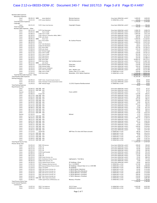## Case 2:12-cv-08333-ODW-JC Document 240-7 Filed 10/17/13 Page 3 of 8 Page ID #:4497

| Reimbursable Expenses                     |                           |                                                                      |                                                            |                                                            |                    |                        |
|-------------------------------------------|---------------------------|----------------------------------------------------------------------|------------------------------------------------------------|------------------------------------------------------------|--------------------|------------------------|
| <b>Relocation Expenses</b>                |                           |                                                                      |                                                            |                                                            |                    |                        |
| Check                                     | 06/26/12 WIRE<br>12/21/12 | James Waleford<br>1131 James Waleford                                | <b>Moving Expenses</b>                                     | Chase Bank OPERATING xx6927                                | 1,600.00           | 1,600.00<br>1,744.00   |
| Check<br><b>Total Relocation Expenses</b> |                           |                                                                      | Moving expenses                                            | 53 OPERATING xx7365                                        | 144.00<br>1,744.00 | 1,744.00               |
| Copyright                                 |                           |                                                                      |                                                            |                                                            |                    |                        |
| Check                                     | 02/21/12                  | 5135 Chase Card Services                                             | Copyright Charges                                          | Chase Bank OPERATING xx6927                                | 795.00             | 795.00                 |
| <b>Total Copyright</b>                    |                           |                                                                      |                                                            |                                                            | 795.00             | 795.00                 |
| Reimbursable Expenses - Other<br>Check    | 04/12/12                  | 5175 Paul Hansmeier                                                  |                                                            | Chase Bank OPERATING xx6927                                | 2,006.78           | 2,006.78               |
| Check                                     | 05/03/12 WIRE             | Paul A. Duffy                                                        |                                                            | Chase Bank OPERATING xx6927                                | 4,000.00           | 6,006.78               |
| Check                                     | 05/08/12                  | 5194 Paul A. Duffy                                                   |                                                            | Chase Bank OPERATING xx6927                                | 1,005.00           | 7,011.78               |
| Check                                     | 05/30/12                  | 5195 Patricia A. Kaneshiro-Miller, RMR-C                             |                                                            | Chase Bank OPERATING xx6927                                | 144.00             | 7,155.78               |
| Check                                     | 06/04/12                  | 5181 John Steele                                                     |                                                            | Chase Bank OPERATING xx6927                                | 964.85             | 8,120.63               |
| Check<br>Check                            | 06/06/12 WIRE<br>06/08/12 | Steve Yuen<br>5217 Kerry Steele                                      | Re: Sunlust Pictures                                       | Chase Bank OPERATING xx6927<br>Chase Bank OPERATING xx6927 | 3,400.00<br>551.57 | 11,520.63<br>12,072.20 |
| Check                                     | 06/20/12                  | 5219                                                                 |                                                            | Chase Bank OPERATING xx6927                                | 1,000.00           | 13,072.20              |
| Check                                     | 07/02/12                  | 5137 Seth Abrahams                                                   |                                                            | Chase Bank OPERATING xx6927                                | 82.67              | 13,154.87              |
| Check                                     | 07/02/12                  | 5138 Seth Abrahams                                                   |                                                            | Chase Bank OPERATING xx6927                                | 82.67              | 13,237.54              |
| Check                                     | 07/05/12                  | 5225 Brett Gibbs                                                     |                                                            | Chase Bank OPERATING xx6927                                | 952.99             | 14,190.53              |
| Check<br>Check                            | 07/09/12<br>07/09/12      | 5226 John Steele<br>5227 Michael Dugas                               |                                                            | Chase Bank OPERATING xx6927<br>Chase Bank OPERATING xx6927 | 210.19<br>37.01    | 14,400.72<br>14,437.73 |
| Check                                     | 07/27/12                  | 5253 Paul A. Duffy                                                   |                                                            | Chase Bank OPERATING xx6927                                | 270.00             | 14,707.73              |
| Check                                     | 07/30/12                  | 5231 Paul A. Duffy                                                   |                                                            | Chase Bank OPERATING xx6927                                | 567.00             | 15,274.73              |
| Check                                     | 07/30/12                  | 5254 Matt Jenkins                                                    |                                                            | Chase Bank OPERATING xx6927                                | 107.00             | 15,381.73              |
| Check                                     | 07/30/12                  | 5255 Matt Jenkins                                                    |                                                            | Chase Bank OPERATING xx6927                                | 107.00             | 15,488.73              |
| Check                                     | 09/04/12                  | 5287 Brett Gibbs                                                     |                                                            | Chase Bank OPERATING xx6927                                | 14,685.42          | 30,174.15              |
| Check<br>Check                            | 09/04/12<br>09/12/12 WIRE | 5292 Brett Gibbs<br>John Steele                                      | Karl reimbursement                                         | Chase Bank OPERATING xx6927<br>Chase Bank OPERATING xx6927 | 1,633.33<br>747.00 | 31,807.48<br>32,554.48 |
| Check                                     | 10/03/12                  | 5275 Michael Dugas                                                   | Filing fees                                                | Chase Bank OPERATING xx6927                                | 210.00             | 32,764.48              |
| Check                                     | 10/03/12                  | 5296 Michael Dugas                                                   | Filing fees                                                | Chase Bank OPERATING xx6927                                | 104.40             | 32,868.88              |
| Check                                     | 10/16/12                  | 5169 Samuel Teitelbaum                                               |                                                            | Chase Bank OPERATING xx6927                                | 55.00              | 32,923.88              |
| Check                                     | 10/19/12                  | 5277 Peter Hansmeier                                                 | Arte / Mullen case                                         | Chase Bank OPERATING xx6927                                | 292.00             | 33,215.88              |
| Check<br>Check                            | 11/14/12<br>12/04/12      | 1082 Paul A. Duffy<br>1104 Brett Gibbs                               | Guava v Doe 12-cv-1661<br>November, 2012 Admin Expenses    | 53 OPERATING xx7365<br>53 OPERATING xx7365                 | 350.00<br>5,250.48 | 33,565.88<br>38,816.36 |
| Total Reimbursable Expenses - Other       |                           |                                                                      |                                                            |                                                            | 38,816.36          | 38,816.36              |
| Total Reimbursable Expenses               |                           |                                                                      |                                                            |                                                            | 41,355.36          | 41,355.36              |
| Parking Expenses                          |                           |                                                                      |                                                            |                                                            |                    |                        |
| Check                                     | 02/09/12                  | 5107 Clerk, Circuit & County Courts IL                               |                                                            | Chase Bank OPERATING xx6927                                | 28.00              | 28.00                  |
| Check                                     | 07/19/12                  | 5232 Hennepin County Government Center                               |                                                            | Chase Bank OPERATING xx6927                                | 42.00              | 70.00                  |
| Check<br><b>Total Parking Expenses</b>    | 11/29/12                  | 1087 Michael Dugas                                                   | 11/2012 Expense Reimbursement                              | 53 OPERATING xx7365                                        | 8.00<br>78.00      | 78.00<br>78.00         |
| Payroll Service Fees                      |                           |                                                                      |                                                            |                                                            |                    |                        |
| Check                                     |                           | 01/04/12 ELEC WD ADP                                                 |                                                            | Chase Bank OPERATING xx6927                                | 47.27              | 47.27                  |
| Check                                     |                           | 02/02/12 ELEC WD ADP                                                 |                                                            | Chase Bank OPERATING xx6927                                | 47.27              | 94.54                  |
| Deposit                                   | 02/06/12                  | ADP                                                                  | From xx6943                                                | Chase Bank OPERATING xx6927                                | $-3.13$            | 91.41                  |
| Check                                     | 02/08/12                  | 5110 ADP                                                             |                                                            | Chase Bank OPERATING xx6927                                | 115.00             | 206.41                 |
| Check<br>Check                            |                           | 02/17/12 ELEC WD ADP<br>03/02/12 ELEC WD ADP                         |                                                            | Chase Bank OPERATING xx6927<br>Chase Bank OPERATING xx6927 | 39.00<br>80.00     | 245.41<br>325.41       |
| Check                                     | 03/09/12 ELEC WD          | ADP                                                                  |                                                            | Chase Bank OPERATING xx6927                                | 161.00             | 486.41                 |
| Check                                     | 04/13/12 ELEC WD          | ADP                                                                  |                                                            | Chase Bank OPERATING xx6927                                | 149.50             | 635.91                 |
| Check                                     |                           | 04/20/12 ELEC WD ADP                                                 |                                                            | Chase Bank OPERATING xx6927                                | 6.00               | 641.91                 |
| Check                                     | 05/11/12 ELEC WD          | ADP                                                                  |                                                            | Chase Bank OPERATING xx6927                                | 147.25             | 789.16                 |
| Check<br>Check                            | 05/25/12 ELEC WD          | ADP<br>06/08/12 ELEC WD ADP                                          |                                                            | Chase Bank OPERATING xx6927<br>Chase Bank OPERATING xx6927 | 6.00<br>77.00      | 795.16<br>872.16       |
| Check                                     |                           | 06/15/12 ELEC WD ADP                                                 |                                                            | Chase Bank OPERATING xx6927                                | 68.00              | 940.16                 |
| Check                                     |                           | 06/22/12 ELEC WD ADP                                                 |                                                            | Chase Bank OPERATING xx6927                                | 6.00               | 946.16                 |
| Check                                     |                           | 07/13/12 ELEC WD ADP                                                 |                                                            | Chase Bank OPERATING xx6927                                | 77.00              | 1,023.16               |
| Deposit                                   | 07/16/12                  | ADP                                                                  | Refund                                                     | Chase Bank OPERATING xx6927                                | $-2.72$            | 1,020.44               |
| Check<br>Check                            |                           | 07/27/12 ELEC WD ADP<br>08/10/12 ELEC WD ADP                         |                                                            | Chase Bank OPERATING xx6927<br>Chase Bank OPERATING xx6927 | 6.00<br>142.75     | 1,026.44<br>1,169.19   |
| Check                                     | 08/31/12 ELEC WD          | ADP                                                                  |                                                            | Chase Bank OPERATING xx6927                                | 6.00               | 1,175.19               |
| Check                                     | 09/07/12 ELEC WD          | ADP                                                                  |                                                            | Chase Bank OPERATING xx6927                                | 87.75              | 1,262.94               |
| Check                                     | 09/28/12 ELEC WD          | ADP                                                                  |                                                            | Chase Bank OPERATING xx6927                                | 6.00               | 1,268.94               |
| Check                                     |                           | 10/02/12 ELEC WD ADP                                                 |                                                            | Chase Bank OPERATING xx6927                                | 41.00              | 1,309.94               |
| Check                                     |                           | 10/12/12 ELEC WD ADP                                                 |                                                            | Chase Bank OPERATING xx6927                                | 149.00             | 1,458.94               |
| Check<br>Check                            |                           | 10/19/12 ELEC WD<br>ADP<br>10/26/12 ELEC WD ADP                      |                                                            | Chase Bank OPERATING xx6927<br>Chase Bank OPERATING xx6927 | 13.00<br>6.00      | 1,471.94<br>1,477.94   |
| Check                                     | 11/13/12                  | 1078 ADP                                                             | ADP Fees (To close old Chase account)                      | 53 OPERATING xx7365                                        | 68.30              | 1,546.24               |
| Check                                     |                           | 11/21/12 ELEC WD ADP                                                 |                                                            | 53 OPERATING xx7365                                        | 68.00              | 1,614.24               |
| Check                                     |                           | 11/30/12 ELEC WD ADP                                                 |                                                            | 53 OPERATING xx7365                                        | 6.00               | 1,620.24               |
| Check                                     |                           | 12/14/12 ELEC WD ADP                                                 |                                                            | 53 OPERATING xx7365                                        | 81.00              | 1,701.24               |
| Check<br>Check                            |                           | 12/28/12 ELEC WD ADP<br>12/31/12 ELEC WD ADP                         |                                                            | 53 OPERATING xx7365<br>53 OPERATING xx7365                 | 6.00<br>30.00      | 1,707.24<br>1,737.24   |
| <b>Total Payroll Service Fees</b>         |                           |                                                                      |                                                            |                                                            | 1,737.24           | 1,737.24               |
| Process Server Fees                       |                           |                                                                      |                                                            |                                                            |                    |                        |
| Check                                     | 01/03/12                  | 5065 PPS Services                                                    |                                                            | Chase Bank OPERATING xx6927                                | 190.00             | 190.00                 |
| Check                                     | 01/20/12                  | 5104 LRI                                                             |                                                            | Chase Bank OPERATING xx6927                                | 65.00              | 255.00                 |
| Check                                     | 02/21/12                  | 5125 LRI<br>5133 LRI                                                 |                                                            | Chase Bank OPERATING xx6927                                | 65.00              | 320.00                 |
| Check<br>Check                            | 02/21/12<br>03/08/12      | 5158 David Kozubal                                                   |                                                            | Chase Bank OPERATING xx6927<br>Chase Bank OPERATING xx6927 | 45.00<br>136.28    | 365.00<br>501.28       |
| Check                                     | 03/20/12                  | 5165 LRI                                                             |                                                            | Chase Bank OPERATING xx6927                                | 115.00             | 616.28                 |
| Check                                     | 04/13/12                  | 5184 LRI                                                             |                                                            | Chase Bank OPERATING xx6927                                | 35.00              | 651.28                 |
| Check                                     | 05/29/12                  | 5200 Hester Services, Inc.                                           |                                                            | Chase Bank OPERATING xx6927                                | 35.00              | 686.28                 |
| Check                                     | 09/04/12                  | 5251 Northshore Process Servers                                      | Lightspeed v. Tom Berry                                    | Chase Bank OPERATING xx6927                                | 85.00              | 771.28                 |
| Check                                     | 09/26/12                  | 5290 Hester Services, Inc.                                           |                                                            | Chase Bank OPERATING xx6927                                | 5.00<br>50.00      | 776.28<br>826.28       |
| Check<br>Check                            | 10/26/12<br>11/02/12      | 5276 Federal Process Servers<br>1007 Delaware Attorney Services      | AF Holdings v Drew<br>Inv. #12108507                       | Chase Bank OPERATING xx6927<br>53 OPERATING xx7365         | 117.80             | 944.08                 |
| Check                                     | 11/13/12                  | 1070 Special Delivery Process Servers                                | AF Holdings v Roeum Hean 12-cv-1449 MN                     | 53 OPERATING xx7365                                        | 65.00              | 1,009.08               |
| Check                                     | 11/19/12                  | 1016 Terry Botts                                                     | AF Holdings                                                | 53 OPERATING xx7365                                        | 80.00              | 1,089.08               |
| Check                                     | 12/03/12                  | 1096 Elite Process Serving, Inc.                                     | # 58618 (James Valentino)                                  | 53 OPERATING xx7365                                        | 65.00              | 1,154.08               |
| Check                                     | 12/03/12                  | 1096 Elite Process Serving, Inc.                                     | # 58619 (Marcelina Mendoza)                                | 53 OPERATING xx7365                                        | 65.00              | 1,219.08               |
| Check<br>Check                            | 12/03/12<br>12/03/12      | 1097 Elite Process Serving, Inc.<br>1097 Elite Process Serving, Inc. | #76639 (Mooney v Priceline)<br>#76638 (Mooney v Priceline) | 53 OPERATING xx7365<br>53 OPERATING xx7365                 | 100.00<br>100.00   | 1,319.08<br>1,419.08   |
| Check                                     | 12/03/12                  | 1097 Elite Process Serving, Inc.                                     | #76631 (Mooney v Priceline)                                | 53 OPERATING xx7365                                        | 150.00             | 1,569.08               |
| Check                                     |                           | 12/05/12 ELEC WD Allen-Hope & Associates                             |                                                            | 53 OPERATING xx7365                                        | 116.81             | 1,685.89               |
| Check                                     | 12/06/12                  | 1108 Legal Process of Minnesota, LLC                                 | Mooney v Priceline                                         | 53 OPERATING xx7365                                        | 95.00              | 1,780.89               |
| <b>Total Process Server Fees</b>          |                           |                                                                      |                                                            |                                                            | 1,780.89           | 1,780.89               |
| Local Counsel Payments<br>Commission      |                           |                                                                      |                                                            |                                                            |                    |                        |
| Check                                     | 11/07/12                  | 1012 Tim Anderson                                                    | 10/12 Cases                                                | 53 OPERATING xx7365                                        | 4,425.00           | 4,425.00               |
| Check                                     | 12/03/12                  | 1099 Tim Anderson                                                    | Settlements received                                       | 53 OPERATING xx7365                                        | 270.00             | 4,695.00               |
|                                           |                           |                                                                      | Dao 2 of 7                                                 |                                                            |                    |                        |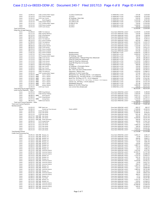#### Case 2:12-cv-08333-ODW-JC Document 240-7 Filed 10/17/13 Page 4 of 8 Page ID #:4498

| Check                                | 12/04/12                     | 1102 Jonathan Wells Tappan        | 11/2012 Commission                                                                  | 53 OPERATING xx7365         | 375.00      | 5,070.00    |
|--------------------------------------|------------------------------|-----------------------------------|-------------------------------------------------------------------------------------|-----------------------------|-------------|-------------|
| Check                                | 12/14/12                     | 1122 Steven Goodhue               | 12/2012                                                                             | 53 OPERATING xx7365         | 1,500.00    | 6,570.00    |
| Check                                | 12/26/12                     | 1134 Sam Trenchi                  | AF Holdings v Stein Hals                                                            | 53 OPERATING xx7365         | 630.00      | 7,200.00    |
| Check                                | 12/31/12 WIRE                | Daniel Ruggiero                   | \$14.900 @ 15%                                                                      | 53 OPERATING xx7365         | 2,235.00    | 9,435.00    |
| Check                                | 12/31/12                     | 1136 Jacques Nazaire              | \$11,500 @ 15%                                                                      | 53 OPERATING xx7365         | 1,725.00    | 11,160.00   |
| Check                                | 12/31/12                     | 1137 Jonathan Wells Tappan        | \$5,000 @ 15%                                                                       | 53 OPERATING xx7365         | 750.00      | 11,910.00   |
| Check                                | 12/31/12                     | 1138 Steven Goodhue               | 01/2013                                                                             | 53 OPERATING xx7365         | 1,500.00    | 13,410.00   |
| Check                                | 12/31/12                     | 1139 Curtis Hussey                | 01/2013                                                                             | 53 OPERATING xx7365         | 500.00      | 13,910.00   |
| <b>Total Commission</b>              |                              |                                   |                                                                                     |                             | 13,910.00   | 13,910.00   |
| Filing Fees & Legal Expenses         |                              |                                   |                                                                                     |                             |             |             |
|                                      |                              |                                   |                                                                                     |                             |             |             |
| Check                                | 01/09/12                     | 5089 Tim Anderson                 |                                                                                     | Chase Bank OPERATING xx6927 | 2,130.00    | 2,130.00    |
| Check                                | 01/11/12                     | 5092 Raphael Whitford             |                                                                                     | Chase Bank OPERATING xx6927 | 510.00      | 2,640.00    |
| Check                                | 03/12/12                     | 5162 Doug McIntyre                |                                                                                     | Chase Bank OPERATING xx6927 | 350.00      | 2,990.00    |
| Check                                | 06/07/12                     | 5206 Brett Gibbs                  |                                                                                     | Chase Bank OPERATING xx6927 | 954.72      | 3,944.72    |
| Check                                | 06/11/12                     | 5215 Tim Anderson                 |                                                                                     | Chase Bank OPERATING xx6927 | 350.00      | 4,294.72    |
| Check                                | 06/14/12                     | 5211 Steven Goodhue               |                                                                                     | Chase Bank OPERATING xx6927 | 602.00      | 4,896.72    |
| Check                                | 07/09/12                     | 5142 Tim Anderson                 |                                                                                     | Chase Bank OPERATING xx6927 | 6,325.00    | 11,221.72   |
|                                      | 08/07/12                     |                                   |                                                                                     | Chase Bank OPERATING xx6927 | 1,830.59    | 13,052.31   |
| Check                                |                              | 5265 Curtis Hussey                |                                                                                     |                             |             |             |
| Check                                | 08/20/12                     | 5282 Jacques Nazaire              |                                                                                     | Chase Bank OPERATING xx6927 | 1,125.00    | 14,177.31   |
| Check                                | 08/20/12                     | 5283 Curtis Hussey                |                                                                                     | Chase Bank OPERATING xx6927 | 435.00      | 14,612.31   |
| Check                                | 08/29/12                     | 5281 Steven Goodhue               |                                                                                     | Chase Bank OPERATING xx6927 | 675.00      | 15,287.31   |
| Check                                | 09/11/12                     | 5294 Steven Goodhue               |                                                                                     | Chase Bank OPERATING xx6927 | 675.00      | 15,962.31   |
| Check                                | 11/07/12                     | 1072 Steven Goodhue               | Reimbursement                                                                       | 53 OPERATING xx7365         | 6,000.00    | 21,962.31   |
| Check                                | 11/07/12                     | 1073 Steven Goodhue               | Reimbursement                                                                       | 53 OPERATING xx7365         | 6,000.00    | 27,962.31   |
|                                      | 11/13/12                     |                                   | AF Holdings v Burnell                                                               |                             | 350.00      | 28,312.31   |
| Check                                |                              | 1079 Jonathan Wells Tappan        |                                                                                     | 53 OPERATING xx7365         |             |             |
| Check                                | 11/13/12                     | 1080 Curtis Hussey                | Lightspeed State / Oldroyd Filing Fees (Advanced)                                   | 53 OPERATING xx7365         | 84.00       | 28,396.31   |
| Check                                | 11/13/12                     | 1080 Curtis Hussey                | Guava AL Filing Fees (Advanced)                                                     | 53 OPERATING xx7365         | 350.00      | 28,746.31   |
| Check                                | 11/13/12                     | 1080 Curtis Hussey                | Quad AL Filing fees (Advanced)                                                      | 53 OPERATING xx7365         | 3,150.00    | 31,896.31   |
| Check                                | 11/13/12                     | 1080 Curtis Hussey                | Quad MS Filing fees (to be paid)                                                    | 53 OPERATING xx7365         | 1,050.00    | 32,946.31   |
| Check                                | 11/28/12                     | 1084 Daniel Ruggiero              | Postage                                                                             | 53 OPERATING xx7365         | 400.00      | 33,346.31   |
| Check                                | 11/28/12                     | 1085 Sam Trenchi                  | AF Holdings v Christopher Barton                                                    | 53 OPERATING xx7365         | 350.00      | 33,696.31   |
|                                      |                              |                                   |                                                                                     |                             |             |             |
| Check                                | 11/28/12                     | 1085 Sam Trenchi                  | AF Holdings v Stein Hals                                                            | 53 OPERATING xx7365         | 350.00      | 34,046.31   |
| Check                                | 12/03/12                     | 1098 Alan Greenstein              | Nov. 2012 case work reimbursement                                                   | 53 OPERATING xx7365         | 200.00      | 34,246.31   |
| Check                                | 12/03/12                     | 1099 Tim Anderson                 | Deposition / Witness fees                                                           | 53 OPERATING xx7365         | 1,650.00    | 35,896.31   |
| Check                                | 12/05/12                     | 1107 Jonathan Wells Tappan        | Additional 11/2012 Comm Due                                                         | 53 OPERATING xx7365         | 375.00      | 36,271.31   |
| Check                                | 12/20/12 WIRE                | Isaac F. Slepner                  | Mongomery Cty., PA Filing 258.00 + 3.25 Subpoena                                    | 53 OPERATING xx7365         | 261.25      | 36,532.56   |
| Check                                | 12/20/12 WIRE                | Isaac F. Slepner                  | Montgomery Cty., PA Filing 258.00 + 3.25 Subpoena                                   | 53 OPERATING xx7365         | 261.25      | 36,793.81   |
| Check                                | 12/20/12 WIRE                | Isaac F. Slepner                  | Bucks Cty., PA Filing 215.75 + \$3.25 Subpoena                                      | 53 OPERATING xx7365         | 219.00      | 37,012.81   |
|                                      |                              |                                   |                                                                                     |                             |             |             |
| Check                                | 12/20/12 WIRE                | Isaac F. Slepner                  | Delaware Cty., PA Filing \$257.50 + \$50 1st filing + \$25 Motion + \$3.25 Subpoena | 53 OPERATING xx7365         | 353.75      | 37,366.56   |
| Check                                | 12/20/12 WIRE                | Isaac F. Slepner                  | Chester Cty., PA Filing + \$4.00 subpoena                                           | 53 OPERATING xx7365         | 165.00      | 37,531.56   |
| Check                                | 12/20/12 WIRE                | Isaac F. Slepner                  | Philadelphia filing fee                                                             | 53 OPERATING xx7365         | 321.48      | 37,853.04   |
| Check                                | 12/21/12 WIRE                | Jacques Nazaire                   | Balance of 10/2012 Filing Fees                                                      | 53 OPERATING xx7365         | 2,800.00    | 40,653.04   |
| Check                                | 12/26/12                     | 1134 Sam Trenchi                  | Less service fees already paid                                                      | 53 OPERATING xx7365         | $-100.00$   | 40,553.04   |
| Total Filing Fees & Legal Expenses   |                              |                                   |                                                                                     |                             | 40,553.04   | 40,553.04   |
| Local Counsel Payments - Other       |                              |                                   |                                                                                     |                             |             |             |
| Check                                | 01/09/12                     | 5090 Doug McIntyre                |                                                                                     | Chase Bank OPERATING xx6927 | 4,180.00    | 4,180.00    |
|                                      |                              |                                   |                                                                                     |                             | 2,920.00    | 7,100.00    |
| Check                                | 03/12/12                     | 5160 Michael O'Malley             |                                                                                     | Chase Bank OPERATING xx6927 |             |             |
| Check                                | 06/08/12 WIRE                | Kevin Hoerner                     |                                                                                     | Chase Bank OPERATING xx6927 | 8,431.11    | 15,531.11   |
| Check                                | 07/09/12                     | 5141 Doug McIntyre                |                                                                                     | Chase Bank OPERATING xx6927 | 1,831.00    | 17,362.11   |
| Check                                | 07/27/12 WIRE                | George Banas                      |                                                                                     | Chase Bank OPERATING xx6927 | 3,150.00    | 20,512.11   |
| Check                                | 08/10/12                     |                                   |                                                                                     |                             | 916.65      | 21,428.76   |
|                                      |                              |                                   |                                                                                     | Chase Bank OPERATING xx6927 |             |             |
|                                      |                              | 5268 Kevin Hoerner                |                                                                                     |                             |             |             |
| Total Local Counsel Payments - Other |                              |                                   |                                                                                     |                             | 21,428.76   | 21,428.76   |
| <b>Total Local Counsel Payments</b>  |                              |                                   |                                                                                     |                             | 75,891.80   | 75,891.80   |
| Reimbursement                        |                              |                                   |                                                                                     |                             |             |             |
| Check                                | 01/03/12                     | 5082 Mark Lutz                    |                                                                                     | Chase Bank OPERATING xx6927 | 682.37      | 682.37      |
| Deposit                              | 02/06/12                     | Prenda Law Trust Account          | From xx6943                                                                         | Chase Bank OPERATING xx6927 | $-7,184.80$ | $-6,502.43$ |
| Check                                | 02/06/12                     | 5119 John Steele                  |                                                                                     | Chase Bank OPERATING xx6927 | 10,300.00   | 3,797.57    |
| Check                                | 02/21/12                     | 5132 John Steele                  |                                                                                     | Chase Bank OPERATING xx6927 | 5,448.46    | 9,246.03    |
| Check                                | 02/21/12                     | 5136 John Steele                  |                                                                                     | Chase Bank OPERATING xx6927 | 601.46      | 9,847.49    |
| Check                                | 02/27/12 ELEC WD John Steele |                                   |                                                                                     | Chase Bank OPERATING xx6927 | 300.00      | 10,147.49   |
|                                      |                              |                                   |                                                                                     |                             |             |             |
| Check                                | 03/01/12 ELEC WD John Steele |                                   |                                                                                     | Chase Bank OPERATING xx6927 | 6,300.00    | 16,447.49   |
| Check                                |                              | 03/19/12 ELEC WD Steele Hansmeier |                                                                                     | Chase Bank OPERATING xx6927 | 300.00      | 16,747.49   |
| Check                                | 04/04/12                     | 5172 Joseph Perea                 |                                                                                     | Chase Bank OPERATING xx6927 | 300.00      | 17,047.49   |
| Check                                | 05/21/12                     | 5212 John Steele                  |                                                                                     | Chase Bank OPERATING xx6927 | 72.43       | 17,119.92   |
| Check                                | 05/21/12                     | 5212 John Steele                  |                                                                                     | Chase Bank OPERATING xx6927 | 2,069.10    | 19,189.02   |
| Check                                | 05/21/12                     | 5212 John Steele                  |                                                                                     | Chase Bank OPERATING xx6927 | 180.26      | 19,369.28   |
| Check                                | 05/21/12                     | 5212 John Steele                  |                                                                                     | Chase Bank OPERATING xx6927 | 1,034.55    | 20,403.83   |
| Check                                | 05/21/12                     | 5212 John Steele                  |                                                                                     | Chase Bank OPERATING xx6927 | 1,107.05    | 21,510.88   |
| Total Reimbursement                  |                              |                                   |                                                                                     |                             | 21,510.88   | 21,510.88   |
| <b>Credit Card Processing Fees</b>   |                              |                                   |                                                                                     |                             |             |             |
| Check                                |                              | 01/05/12 ELEC WD Bluepay, Inc.    |                                                                                     | Chase Bank OPERATING xx6927 | 3,281.17    | 3,281.17    |
| Check                                |                              | 01/12/12 ELEC WD Bluepay, Inc.    |                                                                                     | Chase Bank OPERATING xx6927 | 25.00       | 3,306.17    |
| Check                                |                              | 01/12/12 ELEC WD Bluepay, Inc.    |                                                                                     | Chase Bank OPERATING xx6927 | 300.00      | 3,606.17    |
|                                      |                              | 01/18/12 ELEC WD Bluepay, Inc.    |                                                                                     |                             |             |             |
| Check                                |                              |                                   |                                                                                     | Chase Bank OPERATING xx6927 | 231.29      | 3,837.46    |
| Check                                |                              | 01/18/12 ELEC WD Bluepay, Inc.    |                                                                                     | Chase Bank OPERATING xx6927 | 43.94       | 3,881.40    |
| Check                                |                              | 01/19/12 ELEC WD Bluepay, Inc.    |                                                                                     | Chase Bank OPERATING xx6927 | 129.00      | 4,010.40    |
| Check                                |                              | 02/09/12 ELEC WD Bluepay, Inc.    |                                                                                     | Chase Bank OPERATING xx6927 | 2,887.71    | 6,898.11    |
| Check                                |                              | 02/09/12 ELEC WD Bluepay, Inc.    |                                                                                     | Chase Bank OPERATING xx6927 | 544.49      | 7,442.60    |
| Check                                |                              | 02/13/12 ELEC WD Bluepay, Inc.    |                                                                                     | Chase Bank OPERATING xx6927 | 42.53       | 7,485.13    |
| Check                                |                              | 02/15/12 ELEC WD American Express |                                                                                     | Chase Bank OPERATING xx6927 | 1,872.82    | 9,357.95    |
| Check                                |                              | 03/05/12 ELEC WD American Express |                                                                                     | Chase Bank OPERATING xx6927 | 12,399.73   | 21,757.68   |
|                                      |                              |                                   |                                                                                     | Chase Bank OPERATING xx6927 |             |             |
| Check                                |                              | 03/05/12 ELEC WD American Express |                                                                                     |                             | 338.88      | 22,096.56   |
| Check                                |                              | 03/14/12 ELEC WD Bluepay, Inc.    |                                                                                     | Chase Bank OPERATING xx6927 | 3,754.19    | 25,850.75   |
| Check                                |                              | 03/14/12 ELEC WD Bluepay, Inc.    |                                                                                     | Chase Bank OPERATING xx6927 | 282.16      | 26,132.91   |
| Check                                |                              | 03/21/12 ELEC WD Bluepay, Inc.    |                                                                                     | Chase Bank OPERATING xx6927 | 29.94       | 26,162.85   |
| Check                                |                              | 04/03/12 ELEC WD American Express |                                                                                     | Chase Bank OPERATING xx6927 | 8,429.68    | 34,592.53   |
| Check                                |                              | 04/03/12 ELEC WD American Express |                                                                                     | Chase Bank OPERATING xx6927 | 24.99       | 34,617.52   |
| Check                                |                              | 04/05/12 ELEC WD American Express |                                                                                     | Chase Bank OPERATING xx6927 | 268.23      | 34,885.75   |
|                                      |                              |                                   |                                                                                     |                             |             |             |
| Check                                |                              | 04/10/12 ELEC WD Bluepay, Inc.    |                                                                                     | Chase Bank OPERATING xx6927 | 1,841.74    | 36,727.49   |
| Check                                |                              | 04/10/12 ELEC WD Bluepay, Inc.    |                                                                                     | Chase Bank OPERATING xx6927 | 132.57      | 36,860.06   |
| Check                                |                              | 04/16/12 ELEC WD American Express |                                                                                     | Chase Bank OPERATING xx6927 | 1,885.82    | 38,745.88   |
| Check                                |                              | 04/20/12 ELEC WD Bluepay, Inc.    |                                                                                     | Chase Bank OPERATING xx6927 | 22.56       | 38,768.44   |
| Check                                |                              | 05/01/12 ELEC WD American Express |                                                                                     | Chase Bank OPERATING xx6927 | 44.94       | 38,813.38   |
| Check                                |                              | 05/08/12 ELEC WD American Express |                                                                                     | Chase Bank OPERATING xx6927 | 389.91      | 39,203.29   |
|                                      |                              |                                   |                                                                                     |                             |             |             |
| Check                                |                              | 05/08/12 ELEC WD Bluepay, Inc.    |                                                                                     | Chase Bank OPERATING xx6927 | 17.51       | 39,220.80   |
| Check                                | 05/09/12 ELEC WD Pay Simple  |                                   |                                                                                     | Chase Bank OPERATING xx6927 | 27.06       | 39,247.86   |
| Check                                |                              | 05/10/12 ELEC WD Bluepay, Inc.    |                                                                                     | Chase Bank OPERATING xx6927 | 2,101.35    | 41,349.21   |
| Check                                |                              | 05/11/12 ELEC WD Bluepay, Inc.    |                                                                                     | Chase Bank OPERATING xx6927 | 120.02      | 41,469.23   |
| Check                                |                              | 05/17/12 ELEC WD American Express |                                                                                     | Chase Bank OPERATING xx6927 | 2,026.46    | 43,495.69   |
| Check                                |                              | 05/31/12 ELEC WD American Express |                                                                                     | Chase Bank OPERATING xx6927 | 10,498.90   | 53,994.59   |
| Check                                |                              | 06/05/12 ELEC WD American Express |                                                                                     | Chase Bank OPERATING xx6927 | 349.45      | 54,344.04   |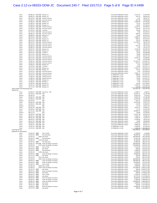| Check                                    |                                | 06/06/12 ELEC WD Bluepay, Inc.               | Chase Bank OPERATING xx6927                                | 3,557.24    | 57,935.09                                     |
|------------------------------------------|--------------------------------|----------------------------------------------|------------------------------------------------------------|-------------|-----------------------------------------------|
| Check                                    | 06/06/12 ELEC WD Bluepay, Inc. |                                              | Chase Bank OPERATING xx6927                                | 107.33      | 58,042.42                                     |
| Check                                    |                                | 06/18/12 ELEC WD American Express            | Chase Bank OPERATING xx6927                                | 4.95        | 58,047.37                                     |
| Check                                    |                                | 07/05/12 ELEC WD American Express            | Chase Bank OPERATING xx6927                                | 391.46      | 58,438.83                                     |
| Check                                    | 07/06/12 ELEC WD Bluepay, Inc. |                                              | Chase Bank OPERATING xx6927                                | 3,002.99    | 61,441.82                                     |
| Check                                    |                                |                                              | Chase Bank OPERATING xx6927                                | 97.23       | 61,539.05                                     |
|                                          | 07/06/12 ELEC WD Bluepay, Inc. |                                              |                                                            |             |                                               |
| Check                                    | 07/06/12 ELEC WD Bluepay, Inc. |                                              | Chase Bank OPERATING xx6927                                | 20.07       | 61,559.12                                     |
| Check                                    |                                | 07/09/12 ELEC WD American Express            | Chase Bank OPERATING xx6927                                | 3,237.41    | 64,796.53                                     |
| Check                                    |                                | 07/09/12 ELEC WD American Express            | Chase Bank OPERATING xx6927                                | 374.94      | 65,171.47                                     |
| Check                                    | 07/10/12 ELEC WD Transfirst    |                                              | Chase Bank OPERATING xx6927                                | 80.30       | 65,251.77                                     |
| Check                                    |                                | 07/17/12 ELEC WD American Express            | Chase Bank OPERATING xx6927                                | 7.95        | 65,259.72                                     |
| Check                                    |                                | 08/06/12 ELEC WD American Express            | Chase Bank OPERATING xx6927                                | 200.05      | 65,459.77                                     |
| Check                                    |                                | 08/08/12 ELEC WD Bluepay, Inc.               | Chase Bank OPERATING xx6927                                | 14.26       | 65,474.03                                     |
| Check                                    | 08/10/12 ELEC WD Transfirst    |                                              | Chase Bank OPERATING xx6927                                | 1,069.51    | 66,543.54                                     |
| Check                                    | 08/13/12 ELEC WD Bluepay, Inc. |                                              | Chase Bank OPERATING xx6927                                | 469.47      | 67,013.01                                     |
| Check                                    | 08/13/12 ELEC WD Bluepay, Inc. |                                              | Chase Bank OPERATING xx6927                                | 83.23       | 67,096.24                                     |
|                                          |                                |                                              | Chase Bank OPERATING xx6927                                | 11,416.15   | 78,512.39                                     |
| Check                                    |                                | 08/15/12 ELEC WD American Express            |                                                            |             |                                               |
| Check                                    |                                | 08/16/12 ELEC WD American Express            | Chase Bank OPERATING xx6927                                | 7.95        | 78,520.34                                     |
| Check                                    |                                | 09/05/12 ELEC WD American Express            | Chase Bank OPERATING xx6927                                | 653.10      | 79,173.44                                     |
| Check                                    |                                | 09/06/12 ELEC WD American Express            | Chase Bank OPERATING xx6927                                | 1.30        | 79,174.74                                     |
| Check                                    | 09/07/12 ELEC WD Bluepay, Inc. |                                              | Chase Bank OPERATING xx6927                                | 3,130.20    | 82,304.94                                     |
| Check                                    | 09/07/12 ELEC WD Bluepay, Inc. |                                              | Chase Bank OPERATING xx6927                                | 116.62      | 82,421.56                                     |
| Check                                    | 09/10/12 ELEC WD Transfirst    |                                              | Chase Bank OPERATING xx6927                                | 45.32       | 82,466.88                                     |
| Check                                    | 09/11/12 ELEC WD Bluepay, Inc. |                                              | Chase Bank OPERATING xx6927                                | 39.68       | 82,506.56                                     |
| Check                                    |                                | 09/13/12 ELEC WD American Express            | Chase Bank OPERATING xx6927                                | 44.94       | 82,551.50                                     |
|                                          |                                |                                              |                                                            | 9,355.35    | 91,906.85                                     |
| Check                                    |                                | 09/17/12 ELEC WD American Express            | Chase Bank OPERATING xx6927                                |             |                                               |
| Check                                    |                                | 09/17/12 ELEC WD American Express            | Chase Bank OPERATING xx6927                                | 7.95        | 91,914.80                                     |
| Check                                    |                                | 10/05/12 ELEC WD American Express            | Chase Bank OPERATING xx6927                                | 31,130.73   | 123,045.53                                    |
| Check                                    |                                | 10/05/12 ELEC WD American Express            | Chase Bank OPERATING xx6927                                | 447.23      | 123,492.76                                    |
| Check                                    |                                | 10/09/12 ELEC WD Bluepay, Inc.               | Chase Bank OPERATING xx6927                                | 7.01        | 123,499.77                                    |
| Check                                    | 10/10/12 ELEC WD Transfirst    |                                              | Chase Bank OPERATING xx6927                                | 32.00       | 123,531.77                                    |
| Check                                    |                                | 10/11/12 ELEC WD Bluepay, Inc.               | Chase Bank OPERATING xx6927                                | 2,323.57    | 125,855.34                                    |
| Check                                    | 10/11/12 ELEC WD Bluepay, Inc. |                                              | Chase Bank OPERATING xx6927                                | 63.21       | 125,918.55                                    |
| Check                                    |                                | 10/16/12 ELEC WD American Express            | Chase Bank OPERATING xx6927                                | 7.95        | 125,926.50                                    |
|                                          |                                |                                              |                                                            | 5,581.17    | 131,507.67                                    |
| Check                                    |                                | 10/17/12 ELEC WD American Express            | Chase Bank OPERATING xx6927                                |             |                                               |
| Check                                    |                                | 10/23/12 ELEC WD Gateway Services            | 53 OPERATING xx7365                                        | 109.60      | 131,617.27                                    |
| Check                                    |                                | 11/06/12 ELEC WD Gateway Services            | 53 OPERATING xx7365                                        | 20.00       | 131,637.27                                    |
| Check                                    |                                | 12/06/12 ELEC WD Gateway Services            | 53 OPERATING xx7365                                        | 20.00       | 131,657.27                                    |
| Check                                    |                                | 12/06/12 ELEC WD Bluepay, Inc.               | 53 OPERATING xx7365                                        | 15.60       | 131,672.87                                    |
| Check                                    | 12/06/12 ELEC WD Bill Matrix   |                                              | 53 OPERATING xx7365                                        | 3.50        | 131,676.37                                    |
| Check                                    |                                | 12/07/12 ELEC WD Bluepay, Inc.               | 53 OPERATING xx7365                                        | 82.30       | 131,758.67                                    |
| Check                                    |                                | 12/07/12 ELEC WD Bluepay, Inc.               | 53 OPERATING xx7365                                        | 1,457.63    | 133,216.30                                    |
| Check                                    |                                | 12/11/12 ELEC WD Bluepay, Inc.               | 53 OPERATING xx7365                                        | 129.00      | 133,345.30                                    |
|                                          |                                |                                              |                                                            | 133,345.30  |                                               |
| <b>Total Credit Card Processing Fees</b> |                                |                                              |                                                            |             | 133,345.30                                    |
| Payroll Tax                              |                                |                                              |                                                            |             |                                               |
| Check                                    |                                | 01/03/12 ELEC WD Payroll Tax - MN            | Chase Bank OPERATING xx6927                                | 1,628.17    | 1,628.17                                      |
| Check                                    | 02/29/12 ELEC WD ADP           |                                              | Chase Bank OPERATING xx6927                                | 10,559.71   | 12,187.88                                     |
| Deposit                                  | 03/02/12                       | ADP                                          | Chase Bank OPERATING xx6927                                | $-6,653.56$ | 5,534.32                                      |
| Check                                    | 03/02/12 ELEC WD ADP           |                                              | Chase Bank OPERATING xx6927                                | 6,653.56    | 12,187.88                                     |
| Check                                    | 03/08/12 ELEC WD ADP           |                                              | Chase Bank OPERATING xx6927                                | 11,078.56   | 23,266.44                                     |
| Deposit                                  | 03/13/12                       | ADP                                          | Chase Bank OPERATING xx6927                                | $-591.75$   | 22,674.69                                     |
| Check                                    | 04/02/12 ELEC WD ADP           |                                              | Chase Bank OPERATING xx6927                                | 10,242.86   | 32,917.55                                     |
| Check                                    | 04/04/12 ELEC WD ADP           |                                              | Chase Bank OPERATING xx6927                                | 110.92      | 33,028.47                                     |
|                                          | 04/19/12                       | ADP                                          | Chase Bank OPERATING xx6927                                | $-17.10$    | 33,011.37                                     |
| Deposit                                  |                                |                                              |                                                            |             |                                               |
| Check                                    | 05/01/12 ELEC WD ADP           |                                              | Chase Bank OPERATING xx6927                                | 9,653.35    | 42,664.72                                     |
| Check                                    | 05/09/12 ELEC WD ADP           |                                              | Chase Bank OPERATING xx6927                                | 37.12       | 42,701.84                                     |
| Check                                    | 05/31/12 ELEC WD ADP           |                                              | Chase Bank OPERATING xx6927                                | 10,099.77   | 52,801.61                                     |
| Deposit                                  | 06/11/12                       | ADP                                          | Chase Bank OPERATING xx6927                                | $-36.66$    | 52,764.95                                     |
| Check                                    | 06/26/12 ELEC WD ADP           |                                              | Chase Bank OPERATING xx6927                                | 11,051.58   | 63,816.53                                     |
| Check                                    | 08/01/12 ELEC WD ADP           |                                              | Chase Bank OPERATING xx6927                                | 9,185.52    | 73,002.05                                     |
| Check                                    | 08/01/12 ELEC WD ADP           |                                              | Chase Bank OPERATING xx6927                                | 1,290.72    | 74,292.77                                     |
| Check                                    | 08/30/12 ELEC WD ADP           |                                              | Chase Bank OPERATING xx6927                                | 4,248.83    | 78,541.60                                     |
|                                          | 08/31/12 ELEC WD ADP           |                                              |                                                            |             | 78,580.60                                     |
| Check                                    |                                |                                              | Chase Bank OPERATING xx6927                                | 39.00       |                                               |
| Check                                    | 09/28/12 ELEC WD ADP           |                                              | Chase Bank OPERATING xx6927                                | 4,476.97    | 83,057.57                                     |
| Check                                    | 10/05/12 ELEC WD ADP           |                                              | Chase Bank OPERATING xx6927                                | 9,895.00    | 92,952.57                                     |
| Check                                    | 12/05/12 ELEC WD ADP           |                                              | 53 OPERATING xx7365                                        | 4,369.83    | 97,322.40                                     |
| Check                                    | 12/31/12 ELEC WD ADP           |                                              |                                                            |             | 102,489.32                                    |
| Total Payroll Tax                        |                                |                                              | 53 OPERATING xx7365                                        | 5,166.92    | 102,489.32                                    |
| Payments to Old Owners                   |                                |                                              |                                                            | 102,489.32  |                                               |
|                                          |                                |                                              |                                                            |             |                                               |
| Check                                    | 01/03/12 WIRE                  | Paul A. Duffy                                | Chase Bank OPERATING xx6927                                | 5,100.00    | 5,100.00                                      |
|                                          |                                | Paul Hansmeier                               | Chase Bank OPERATING xx6927                                | 90,000.00   | 95,100.00                                     |
| Check                                    | 01/03/12 WIRE                  |                                              |                                                            |             |                                               |
| Check                                    | 01/03/12                       | 5093 John Steele                             | Chase Bank OPERATING xx6927                                | 100,000.00  | 195,100.00                                    |
| Check                                    | 02/01/12 WIRE                  | Paul Hansmeier                               | Chase Bank OPERATING xx6927                                | 15,321.28   | 210,421.28                                    |
| Check                                    | 02/06/12                       | 5120 John Steele                             | Chase Bank OPERATING xx6927                                | 75,000.00   | 285,421.28                                    |
| Check                                    | 02/07/12 WIRE                  | Paul Hansmeier                               | Chase Bank OPERATING xx6927                                | 75,000.00   | 360,421.28                                    |
| Check                                    |                                | 03/02/12 ELEC WD Under the Bridge Consulting | Chase Bank OPERATING xx6927                                | 100,000.00  | 460,421.28                                    |
| Check                                    | 04/04/12                       | 5176 Under the Bridge Consulting             | Chase Bank OPERATING xx6927                                | 150,000.00  | 610,421.28                                    |
| Check                                    | 04/13/12 WIRE                  | Paul A. Duffy                                | Chase Bank OPERATING xx6927                                | 4,120.00    | 614,541.28                                    |
| Check                                    | 04/24/12 WIRE                  | John Steele                                  | Chase Bank OPERATING xx6927                                | 400.00      | 614,941.28                                    |
| Check                                    | 04/24/12 WIRE                  | Paul Hansmeier                               | Chase Bank OPERATING xx6927                                | 5,000.00    | 619,941.28                                    |
| Check                                    | 05/03/12                       | 5190 John Steele                             | Chase Bank OPERATING xx6927                                | 4,600.00    | 624,541.28                                    |
|                                          |                                |                                              |                                                            |             |                                               |
| Check                                    | 05/04/12 WIRE                  | Under the Bridge Consulting                  | Chase Bank OPERATING xx6927                                | 40,000.00   | 664,541.28                                    |
| Check                                    | 05/17/12 WIRE                  | John Steele                                  | Chase Bank OPERATING xx6927                                | 300.00      | 664,841.28                                    |
| Check                                    | 05/21/12                       | 5212 John Steele                             | Chase Bank OPERATING xx6927                                | 236.61      | 665,077.89                                    |
| Check                                    | 05/29/12                       | 5202 Under the Bridge Consulting             | Chase Bank OPERATING xx6927                                | 100,000.00  | 765,077.89                                    |
| ${\sf Check}$                            | 06/04/12 WIRE                  | Under the Bridge Consulting                  | Chase Bank OPERATING xx6927                                | 100,000.00  | 865,077.89                                    |
| Check                                    | 06/18/12 WIRE                  | Under the Bridge Consulting                  | Chase Bank OPERATING xx6927                                | 50,000.00   | 915,077.89                                    |
| Check                                    | 07/02/12 WIRE                  | Paul A. Duffy                                | Chase Bank OPERATING xx6927                                | 5,000.00    | 920,077.89                                    |
| Check                                    | 07/03/12                       | 5228 Paul A. Duffy                           | Chase Bank OPERATING xx6927                                | 4,080.00    | 924,157.89                                    |
| Check                                    | 07/09/12                       | 5230 Under the Bridge Consulting             | Chase Bank OPERATING xx6927                                |             | 125,000.00 1,049,157.89                       |
|                                          |                                |                                              |                                                            |             |                                               |
| Check                                    | 07/25/12 WIRE                  | John Steele                                  | Chase Bank OPERATING xx6927                                |             | 400.00 1,049,557.89                           |
| Check                                    | 08/01/12 WIRE                  | Under the Bridge Consulting                  | Chase Bank OPERATING xx6927                                |             | 81,000.00 1,130,557.89                        |
| Check                                    | 08/24/12 WIRE                  | John Steele                                  | Chase Bank OPERATING xx6927                                |             | 300.00 1,130,857.89                           |
| Check                                    | 08/30/12 WIRE                  | Paul A. Duffy                                | Chase Bank OPERATING xx6927                                |             | 8,769.56 1,139,627.45                         |
| Check                                    | 08/30/12 WIRE                  | John Steele                                  | Chase Bank OPERATING xx6927                                |             | 13,779.33 1,153,406.78                        |
| Check                                    | 09/04/12 WIRE                  | Under the Bridge Consulting                  | Chase Bank OPERATING xx6927                                |             | 10,000.00 1,163,406.78                        |
| ${\sf Check}$                            | 09/04/12 WIRE                  | Under the Bridge Consulting                  | Chase Bank OPERATING xx6927                                |             | 5,000.00 1,168,406.78                         |
| Check                                    | 09/06/12 WIRE                  | Under the Bridge Consulting                  | Chase Bank OPERATING xx6927                                |             | 100,000.00 1,268,406.78                       |
| Check                                    | 09/07/12 WIRE                  | John Steele                                  | Chase Bank OPERATING xx6927                                |             | 4,800.00 1,273,206.78                         |
|                                          |                                |                                              |                                                            |             |                                               |
| Check                                    | 10/01/12 WIRE                  | John Steele                                  | Chase Bank OPERATING xx6927                                |             | 300.00 1,273,506.78                           |
| Check<br>Check                           | 10/04/12 WIRE<br>10/17/12 WIRE | Under the Bridge Consulting<br>John Steele   | Chase Bank OPERATING xx6927<br>Chase Bank OPERATING xx6927 |             | 50,000.00 1,323,506.78<br>300.00 1,323,806.78 |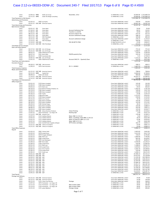### Case 2:12-cv-08333-ODW-JC Document 240-7 Filed 10/17/13 Page 6 of 8 Page ID #:4500

| Check<br>Check<br>Total Payments to Old Owners           | 12/04/12 WIRE<br>12/11/12 WIRE |                                              | Duffy Law Group<br>Under the Bridge Consulting                   | November, 2012                                          | 53 OPERATING xx7365<br>53 OPERATING xx7365                 | 1,343,806.78 1,343,806.78 | 10,000.00 1,333,806.78<br>10,000.00 1,343,806.78 |
|----------------------------------------------------------|--------------------------------|----------------------------------------------|------------------------------------------------------------------|---------------------------------------------------------|------------------------------------------------------------|---------------------------|--------------------------------------------------|
| Advertising and Promotion                                |                                |                                              |                                                                  |                                                         |                                                            |                           |                                                  |
| Check                                                    | 01/03/12                       |                                              | 5063 Jay Kopita                                                  |                                                         | Chase Bank OPERATING xx6927                                | 250.00                    | 250.00                                           |
| Check<br>Total Advertising and Promotion                 |                                |                                              | 05/01/12 ELEC WD American Express                                |                                                         | Chase Bank OPERATING xx6927                                | 10,047.18<br>10,297.18    | 10,297.18<br>10,297.18                           |
| <b>Bank Service Charges</b>                              |                                |                                              |                                                                  |                                                         |                                                            |                           |                                                  |
| Check                                                    | 03/01/12 FEE                   |                                              | Chase Bank                                                       |                                                         | Chase Bank OPERATING xx6927                                | 50.00                     | 50.00                                            |
| Check                                                    | 07/16/12 FEE                   |                                              | Chase Bank                                                       | <b>Account Settlement Fee</b>                           | Chase Bank OPERATING xx6927                                | 66.91                     | 116.91                                           |
| Check<br>Check                                           | 07/26/12 FEE<br>08/15/12 FEE   |                                              | Chase Bank<br>Chase Bank                                         | Transfer to xx6240<br>Account analysis fee              | Chase Bank OPERATING xx6927<br>Chase Bank OPERATING xx6927 | 50.00<br>255.42           | 166.91<br>422.33                                 |
| Check                                                    | 09/17/12 FEE                   |                                              | Chase Bank                                                       | Account settlement charge                               | Chase Bank OPERATING xx6927                                | 288.19                    | 710.52                                           |
| Check                                                    | 10/11/12 FEE                   |                                              | Fifth Third Bank                                                 |                                                         | 53 OPERATING xx7365                                        | 183.68                    | 894.20                                           |
| Check                                                    | 10/15/12 FEE                   |                                              | Chase Bank                                                       | Account settlement charge                               | Chase Bank OPERATING xx6927                                | 276.37                    | 1,170.57                                         |
| Check                                                    | 11/13/12 FEE                   |                                              | Fifth Third Bank                                                 |                                                         | 53 OPERATING xx7365                                        | 504.00                    | 1,674.57                                         |
| Check<br>Check                                           | 11/14/12 ELEC WD               |                                              | 12/12/12 ELEC WD Fifth Third Bank                                | FEE ON RET'D ITEM                                       | 53 INACTIVE IOLTA xx7217<br>53 OPERATING xx7365            | 25.00<br>415.63           | 1,699.57<br>2,115.20                             |
| <b>Total Bank Service Charges</b>                        |                                |                                              |                                                                  |                                                         |                                                            | 2,115.20                  | 2.115.20                                         |
| Dues and Subscriptions                                   |                                |                                              |                                                                  |                                                         |                                                            |                           |                                                  |
| Check                                                    |                                |                                              | 02/17/12 ELEC WD ULC of Chicago                                  |                                                         | Chase Bank OPERATING xx6927                                | 772.42                    | 772.42                                           |
| Check<br>Check                                           | 08/03/12                       |                                              | 05/21/12 ELEC WD ULC of Chicago<br>5260 PACER Service Center     |                                                         | Chase Bank OPERATING xx6927<br>Chase Bank OPERATING xx6927 | 1,208.67<br>519.40        | 1,981.09<br>2,500.49                             |
| Check                                                    | 08/07/12                       |                                              | 5261 Brett Gibbs                                                 | PACER quarterly fees                                    | Chase Bank OPERATING xx6927                                | 220.50                    | 2,720.99                                         |
| Check                                                    | 08/20/12                       |                                              | 5284 Sacramento Bee                                              |                                                         | Chase Bank OPERATING xx6927                                | 7.25                      | 2,728.24                                         |
| Check                                                    |                                |                                              | 10/05/12 ELEC WD ULC of Chicago                                  |                                                         | Chase Bank OPERATING xx6927                                | 1,133.22                  | 3,861.46                                         |
| Check                                                    | 11/01/12                       |                                              | 1003 PACER Service Center                                        | Account SH6174 - Quarterly Dues                         | 53 OPERATING xx7365                                        | 213.50                    | 4,074.96                                         |
| <b>Total Dues and Subscriptions</b><br>Insurance Expense |                                |                                              |                                                                  |                                                         |                                                            | 4,074.96                  | 4,074.96                                         |
| Check                                                    |                                |                                              | 09/28/12 ELEC WD CNA Insurance                                   |                                                         | Chase Bank OPERATING xx6927                                | 498.21                    | 498.21                                           |
| Check                                                    | 11/09/12                       |                                              | 1076 Pearl Insurance                                             | ID # 1-16KNKV                                           | 53 OPERATING xx7365                                        | 3,467.43                  | 3,965.64                                         |
| <b>Total Insurance Expense</b>                           |                                |                                              |                                                                  |                                                         |                                                            | 3,965.64                  | 3,965.64                                         |
| Meals and Entertainment                                  |                                |                                              | 01/31/12 ELEC WD American Express                                |                                                         |                                                            |                           |                                                  |
| Check<br>Check                                           | 05/31/12 WIRE                  |                                              | Capital One                                                      |                                                         | Chase Bank OPERATING xx6927<br>Chase Bank OPERATING xx6927 | 798.64<br>6,000.00        | 798.64<br>6,798.64                               |
| Check                                                    | 08/09/12                       |                                              | 5263 John Steele                                                 |                                                         | Chase Bank OPERATING xx6927                                | 900.00                    | 7,698.64                                         |
| Check                                                    |                                |                                              | 11/14/12 ELEC WD American Express                                |                                                         | 53 OPERATING xx7365                                        | 18,291.37                 | 25,990.01                                        |
| Check                                                    |                                |                                              | 12/12/12 ELEC WD American Express                                |                                                         | 53 OPERATING xx7365                                        | 751.48                    | 26,741.49                                        |
| Total Meals and Entertainment<br>Office Expenses         |                                |                                              |                                                                  |                                                         |                                                            | 26,741.49                 | 26,741.49                                        |
| Check                                                    | 03/01/12                       |                                              | 5159 Maria Campbell                                              |                                                         | Chase Bank OPERATING xx6927                                | 145.00                    | 145.00                                           |
| Check                                                    | 03/26/12                       |                                              | 5166 Maria Campbell                                              |                                                         | Chase Bank OPERATING xx6927                                | 215.00                    | 360.00                                           |
| Check                                                    | 04/03/12                       |                                              | 5173 Mark Lutz                                                   |                                                         | Chase Bank OPERATING xx6927                                | 44.93                     | 404.93                                           |
| Check                                                    | 04/10/12                       |                                              | 5174 Werner Printing Company, Inc.                               |                                                         | Chase Bank OPERATING xx6927                                | 1,392.45                  | 1,797.38                                         |
| Check<br>Check                                           | 04/19/12<br>04/30/12           |                                              | 5180 Maria Campbell<br>5186 Maria Campbell                       |                                                         | Chase Bank OPERATING xx6927<br>Chase Bank OPERATING xx6927 | 140.00<br>230.00          | 1,937.38<br>2,167.38                             |
| Check                                                    | 04/30/12                       |                                              | 5187 PayPal                                                      |                                                         | Chase Bank OPERATING xx6927                                | 35.86                     | 2,203.24                                         |
| Check                                                    | 05/07/12                       |                                              | 5188 Brett Gibbs                                                 |                                                         | Chase Bank OPERATING xx6927                                | 2,721.67                  | 4,924.91                                         |
| Check                                                    | 05/17/12                       |                                              | 5199 Maria Campbell                                              |                                                         | Chase Bank OPERATING xx6927                                | 230.00                    | 5,154.91                                         |
| Check<br>Check                                           | 05/31/12<br>06/01/12           |                                              | 5204 Erica Tranese<br>5203 Maria Campbell                        |                                                         | Chase Bank OPERATING xx6927<br>Chase Bank OPERATING xx6927 | 70.70<br>145.00           | 5,225.61<br>5,370.61                             |
| Check                                                    | 06/18/12                       |                                              | 5220 Maria Campbell                                              |                                                         | Chase Bank OPERATING xx6927                                | 145.00                    | 5,515.61                                         |
| Check                                                    | 06/20/12                       |                                              | 5182 Michael Dugas                                               |                                                         | Chase Bank OPERATING xx6927                                | 28.16                     | 5,543.77                                         |
| Check                                                    | 07/02/12                       |                                              | 5223 Maria Campbell                                              |                                                         | Chase Bank OPERATING xx6927                                | 145.00                    | 5,688.77                                         |
| Check                                                    | 08/06/12                       |                                              | 5267 Maria Campbell                                              |                                                         | Chase Bank OPERATING xx6927                                | 205.00                    | 5,893.77                                         |
| Check<br>Check                                           | 08/20/12                       |                                              | 5285 Maria Campbell<br>10/26/12 ELEC WD Deluxe Business Products | <b>Check Printing</b>                                   | Chase Bank OPERATING xx6927<br>53 OPERATING xx7365         | 145.00<br>379.48          | 6,038.77<br>6,418.25                             |
| Check                                                    | 11/07/12                       |                                              | 1074 Postmaster - Las Vegas, NV                                  | Packing tape                                            | 53 OPERATING xx7365                                        | 3.49                      | 6,421.74                                         |
| Check                                                    |                                |                                              | 11/13/12 ELEC WD Amazon.Com                                      |                                                         | 53 OPERATING xx7365                                        | 176.98                    | 6,598.72                                         |
| Check                                                    | 12/07/12                       |                                              | 1112 Kathleen Momot                                              | Water (F&E 11/14/12)                                    | 53 OPERATING xx7365                                        | 5.00                      | 6,603.72                                         |
| Check                                                    | 12/07/12                       |                                              | 1112 Kathleen Momot                                              | Water, Trashbags, Raid (WM 11/29/12)                    | 53 OPERATING xx7365                                        | 18.34                     | 6,622.06                                         |
| Check<br>Check                                           | 12/07/12<br>12/07/12           |                                              | 1112 Kathleen Momot<br>1112 Kathleen Momot                       | Water, TP, Soda, etc (WM 12/7/12)<br>Water (WM 12/2/12) | 53 OPERATING xx7365<br>53 OPERATING xx7365                 | 33.96<br>7.96             | 6,656.02<br>6,663.98                             |
| Check                                                    | 12/14/12                       |                                              | 1121 ALCAN Printer Supplies & Repair                             | HP P1102w cartridges                                    | 53 OPERATING xx7365                                        | 162.15                    | 6,826.13                                         |
| Check                                                    |                                |                                              | 12/21/12 ELEC WD Library of Congress                             |                                                         | 53 OPERATING xx7365                                        | 35.00                     | 6,861.13                                         |
| Check                                                    |                                |                                              | 12/21/12 ELEC WD Library of Congress                             |                                                         | 53 OPERATING xx7365                                        | 35.00                     | 6,896.13                                         |
| <b>Total Office Expenses</b><br>Payroll                  |                                |                                              |                                                                  |                                                         |                                                            | 6,896.13                  | 6,896.13                                         |
| Check                                                    | 01/03/12                       |                                              | 5062 Charles Piehl                                               |                                                         | Chase Bank OPERATING xx6927                                | 2,603.83                  | 2.603.83                                         |
| Check                                                    | 01/03/12                       |                                              | 5078 Joseph Perea                                                |                                                         | Chase Bank OPERATING xx6927                                | 3,413.95                  | 6,017.78                                         |
| Check                                                    | 01/03/12                       |                                              | 5079 Douglas Wahlgren                                            |                                                         | Chase Bank OPERATING xx6927                                | 729.07                    | 6,746.85                                         |
| Check                                                    | 01/03/12                       |                                              | 5083 Mark Lutz                                                   |                                                         | Chase Bank OPERATING xx6927                                | 1,000.00                  | 7,746.85<br>8,428.67                             |
| Check<br>Check                                           | 01/03/12<br>01/04/12           |                                              | 5084 Joseph Perea<br>5095 Juan Rodriguez                         |                                                         | Chase Bank OPERATING xx6927<br>Chase Bank OPERATING xx6927 | 681.82<br>261.60          | 8,690.27                                         |
| Check                                                    | 01/09/12                       |                                              | 5087 Brett Gibbs                                                 |                                                         | Chase Bank OPERATING xx6927                                | 4,540.00                  | 13,230.27                                        |
| Check                                                    | 01/09/12                       |                                              | 5100 Joseph Perea                                                |                                                         | Chase Bank OPERATING xx6927                                | 416.66                    | 13,646.93                                        |
| Check                                                    | 02/01/12                       |                                              | 5115 Mark Lutz                                                   |                                                         | Chase Bank OPERATING xx6927                                | 5,188.62                  | 18,835.55                                        |
| Check<br>Check                                           | 02/01/12<br>02/02/12           |                                              | 5116 Joseph Perea<br>5117 Erica Tranese                          |                                                         | Chase Bank OPERATING xx6927<br>Chase Bank OPERATING xx6927 | 3,420.62<br>2,292.74      | 22,256.17<br>24,548.91                           |
| Check                                                    | 02/06/12                       |                                              | 5118 Joseph Perea                                                |                                                         | Chase Bank OPERATING xx6927                                | 416.00                    | 24,964.91                                        |
| Check                                                    | 02/06/12                       |                                              | 5121 Steele Law                                                  |                                                         | Chase Bank OPERATING xx6927                                | 3,268.12                  | 28,233.03                                        |
| Check                                                    |                                | 03/01/12 ELEC WD ADP                         |                                                                  |                                                         | Chase Bank OPERATING xx6927                                | 37,490.14                 | 65,723.17                                        |
| Check                                                    |                                | 04/02/12 ELEC WD ADP                         |                                                                  |                                                         | Chase Bank OPERATING xx6927                                | 25,615.81                 | 91,338.98                                        |
| Check<br>Check                                           |                                | 04/04/12 ELEC WD ADP<br>05/01/12 ELEC WD ADP |                                                                  |                                                         | Chase Bank OPERATING xx6927<br>Chase Bank OPERATING xx6927 | 11,249.38<br>25,605.86    | 102,588.36<br>128,194.22                         |
| Check                                                    |                                | 05/03/12 ELEC WD ADP                         |                                                                  |                                                         | Chase Bank OPERATING xx6927                                | 12,345.00                 | 140,539.22                                       |
| Check                                                    |                                | 05/31/12 ELEC WD ADP                         |                                                                  |                                                         | Chase Bank OPERATING xx6927                                | 25,896.39                 | 166,435.61                                       |
| Check                                                    |                                | 06/06/12 ELEC WD ADP                         |                                                                  |                                                         | Chase Bank OPERATING xx6927                                | 15,951.75                 | 182,387.36                                       |
| Check                                                    |                                | 06/29/12 ELEC WD ADP<br>08/01/12 ELEC WD ADP |                                                                  |                                                         | Chase Bank OPERATING xx6927<br>Chase Bank OPERATING xx6927 | 27,685.26<br>31,436.20    | 210,072.62<br>241,508.82                         |
| Check<br>Check                                           |                                | 08/30/12 ELEC WD ADP                         |                                                                  |                                                         | Chase Bank OPERATING xx6927                                | 20,658.98                 | 262,167.80                                       |
| Check                                                    |                                | 10/01/12 ELEC WD ADP                         |                                                                  |                                                         | Chase Bank OPERATING xx6927                                | 14,219.67                 | 276,387.47                                       |
| Check                                                    |                                | 12/05/12 ELEC WD ADP                         |                                                                  |                                                         | 53 OPERATING xx7365                                        | 9,624.67                  | 286,012.14                                       |
| <b>Total Payroll</b>                                     |                                |                                              |                                                                  |                                                         |                                                            | 286,012.14                | 286,012.14                                       |
| Postage and Delivery<br>Check                            |                                |                                              | 01/31/12 ELEC WD American Express                                |                                                         | Chase Bank OPERATING xx6927                                | 74.99                     | 74.99                                            |
| Check                                                    |                                |                                              | 02/15/12 ELEC WD American Express                                |                                                         | Chase Bank OPERATING xx6927                                | 74.99                     | 149.98                                           |
| Check                                                    | 02/21/12                       |                                              | 5135 Chase Card Services                                         | Postage                                                 | Chase Bank OPERATING xx6927                                | 18.95                     | 168.93                                           |
| Check                                                    | 11/07/12                       |                                              | 1074 Postmaster - Las Vegas, NV                                  |                                                         | 53 OPERATING xx7365                                        | 18.95                     | 187.88                                           |
| Check                                                    | 12/11/12                       |                                              | 1115 Postmaster - Las Vegas, NV                                  | Mail to Brett Gibbs                                     | 53 OPERATING xx7365                                        | 18.95                     | 206.83                                           |
| Check<br>Check                                           | 12/13/12<br>12/21/12           |                                              | 1120 Postmaster - Las Vegas, NV<br>1131 James Waleford           | Mail to Brett Gibbs<br>Postage charge                   | 53 OPERATING xx7365<br>53 OPERATING xx7365                 | 18.95<br>$-18.95$         | 225.78<br>206.83                                 |
|                                                          |                                |                                              |                                                                  |                                                         |                                                            |                           |                                                  |
|                                                          |                                |                                              |                                                                  |                                                         |                                                            |                           |                                                  |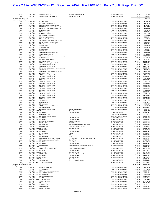### Case 2:12-cv-08333-ODW-JC Document 240-7 Filed 10/17/13 Page 7 of 8 Page ID #:4501

| Check<br>Check<br>Total Postage and Delivery | 12/21/12<br>12/31/12                  | 1132 Alison Perelman<br>1144 Postmaster - Las Vegas, NV                              | Postage Reimbursement<br>Mail to Brett Gibbs   | 53 OPERATING xx7365<br>53 OPERATING xx7365                 | 18.95<br>18.95<br>244.73 | 225.78<br>244.73<br>244.73 |
|----------------------------------------------|---------------------------------------|--------------------------------------------------------------------------------------|------------------------------------------------|------------------------------------------------------------|--------------------------|----------------------------|
| Legal & Professional Fees                    |                                       |                                                                                      |                                                |                                                            |                          |                            |
| Check                                        | 01/04/12                              | 5091 Neil Rubin                                                                      |                                                | Chase Bank OPERATING xx6927                                | 1,220.00                 | 1,220.00                   |
| Check                                        | 01/05/12                              | 5081 Carey, Danis & Lowe, LLC                                                        |                                                | Chase Bank OPERATING xx6927                                | 240.00                   | 1,460.00                   |
| Check                                        | 01/18/12<br>01/23/12                  | 5051 Mediacom Communication Corp                                                     |                                                | Chase Bank OPERATING xx6927<br>Chase Bank OPERATING xx6927 | 20.20                    | 1,480.20                   |
| Check<br>Check                               | 01/27/12                              | 5012 RCN Telecom Service of Ilinois, LLC<br>5058 RCN Telecom Service of Ilinois, LLC |                                                | Chase Bank OPERATING xx6927                                | 20.20<br>20.20           | 1,500.40<br>1,520.60       |
| Check                                        | 01/30/12                              | 5038 Comcast Legal                                                                   |                                                | Chase Bank OPERATING xx6927                                | 3,750.00                 | 5,270.60                   |
| Check                                        | 01/30/12                              | 5039 Comcast Legal                                                                   |                                                | Chase Bank OPERATING xx6927                                | 360.00                   | 5,630.60                   |
| Check                                        | 01/30/12                              | 5099 Maria Pierantozzi                                                               |                                                | Chase Bank OPERATING xx6927                                | 466.00                   | 6,096.60                   |
| Check                                        | 01/31/12                              | 5071 Cricket Communications                                                          |                                                | Chase Bank OPERATING xx6927                                | 26.80                    | 6,123.40                   |
| Check                                        | 02/03/12                              | 5041 AOL Legal Department                                                            |                                                | Chase Bank OPERATING xx6927                                | 89.00                    | 6,212.40                   |
| Check                                        | 02/17/12                              | 5016 WideOpenWest Illinois, Inc.                                                     |                                                | Chase Bank OPERATING xx6927                                | 60.40                    | 6,272.80                   |
| Check                                        | 02/17/12                              | 5123 Clerk of Courts Miami-Dade County                                               |                                                | Chase Bank OPERATING xx6927                                | 401.00                   | 6,673.80                   |
| Check                                        | 02/27/12                              | 5057 Level 3 Communications, Inc.                                                    |                                                | Chase Bank OPERATING xx6927                                | 26.80                    | 6,700.60                   |
| Check                                        | 03/12/12                              | 5124 Office of the Secretary of State                                                |                                                | Chase Bank OPERATING xx6927                                | 120.00                   | 6,820.60                   |
| Check                                        | 03/19/12                              | 5163 Infield Barr                                                                    |                                                | Chase Bank OPERATING xx6927                                | 750.00                   | 7,570.60                   |
| Check                                        | 04/10/12                              | 5103 Century Link                                                                    |                                                | Chase Bank OPERATING xx6927                                | 60.00                    | 7,630.60                   |
| Check                                        | 04/13/12                              | 5171 Brett Gibbs<br>5183 Infield Barr                                                |                                                | Chase Bank OPERATING xx6927                                | 217.80                   | 7,848.40                   |
| Check<br>Check                               | 04/24/12<br>04/27/12                  | 5179 Level 3 Communications, Inc.                                                    |                                                | Chase Bank OPERATING xx6927<br>Chase Bank OPERATING xx6927 | 450.00<br>120.00         | 8,298.40<br>8,418.40       |
| Check                                        | 04/30/12                              | 5178 EComp Consultants                                                               |                                                | Chase Bank OPERATING xx6927                                | 5,000.00                 | 13,418.40                  |
| Check                                        | 05/08/12                              | 5193 Becker, Paulson, Hoemer & Thompson, PC                                          |                                                | Chase Bank OPERATING xx6927                                | 4,109.17                 | 17,527.57                  |
| Check                                        | 06/22/12                              | 5150 US Treasury                                                                     |                                                | Chase Bank OPERATING xx6927                                | 1,750.00                 | 19,277.57                  |
| Check                                        | 06/28/12                              | 5222 Aaron Notary Services                                                           |                                                | Chase Bank OPERATING xx6927                                | 75.00                    | 19,352.57                  |
| Check                                        | 07/02/12                              | 5149 Nathan Wersel                                                                   |                                                | Chase Bank OPERATING xx6927                                | 1,561.34                 | 20,913.91                  |
| Check                                        | 07/05/12                              | 5147 Madison County Circuit Clerk                                                    |                                                | Chase Bank OPERATING xx6927                                | 431.50                   | 21,345.41                  |
| Check                                        | 07/09/12                              | 5145 Clerk of Superior Court                                                         |                                                | Chase Bank OPERATING xx6927                                | 259.50                   | 21,604.91                  |
| Check                                        | 07/10/12                              | 5146 Clerk of Superior Court                                                         |                                                | Chase Bank OPERATING xx6927                                | 257.50                   | 21,862.41                  |
| Check                                        | 07/11/12                              | 5140 Becker, Paulson, Hoemer & Thompson, PC                                          |                                                | Chase Bank OPERATING xx6927                                | 4,766.67<br>5,000.00     | 26,629.08                  |
| Check<br>Check                               | 07/12/12<br>08/01/12                  | 5143 Joseph Perea                                                                    |                                                | Chase Bank OPERATING xx6927<br>Chase Bank OPERATING xx6927 | 2.50                     | 31,629.08<br>31,631.58     |
| Check                                        | 08/02/12                              | 5256 Clerk of Courts Miami-Dade County<br>5264 Joseph Perea                          |                                                | Chase Bank OPERATING xx6927                                | 2,500.00                 | 34,131.58                  |
| Check                                        | 08/03/12                              | 5248 Los Angeles Superior Court                                                      |                                                | Chase Bank OPERATING xx6927                                | 435.00                   | 34,566.58                  |
| Check                                        | 08/06/12                              | 5234 Clerk, US District Court                                                        |                                                | Chase Bank OPERATING xx6927                                | 350.00                   | 34,916.58                  |
| Check                                        | 08/06/12                              | 5235 Clerk, US District Court                                                        |                                                | Chase Bank OPERATING xx6927                                | 350.00                   | 35,266.58                  |
| Check                                        | 08/06/12                              | 5236 Clerk, US District Court                                                        |                                                | Chase Bank OPERATING xx6927                                | 350.00                   | 35,616.58                  |
| Check                                        | 08/06/12                              | 5237 Clerk, US District Court                                                        |                                                | Chase Bank OPERATING xx6927                                | 350.00                   | 35,966.58                  |
| Check                                        | 08/06/12                              | 5238 Clerk, US District Court                                                        |                                                | Chase Bank OPERATING xx6927                                | 350.00                   | 36,316.58                  |
| Check                                        | 08/06/12                              | 5239 Clerk, US District Court                                                        |                                                | Chase Bank OPERATING xx6927                                | 350.00                   | 36,666.58                  |
| Check                                        | 08/06/12                              | 5240 Clerk, US District Court                                                        |                                                | Chase Bank OPERATING xx6927                                | 350.00                   | 37,016.58                  |
| Check                                        | 08/06/12                              | 5241 Clerk, US District Court                                                        |                                                | Chase Bank OPERATING xx6927                                | 350.00                   | 37,366.58                  |
| Check<br>Check                               | 08/06/12<br>08/06/12                  | 5242 Clerk, US District Court<br>5243 Clerk, US District Court                       |                                                | Chase Bank OPERATING xx6927<br>Chase Bank OPERATING xx6927 | 350.00<br>350.00         | 37,716.58<br>38,066.58     |
| Check                                        | 08/06/12                              | 5244 Clerk, US District Court                                                        |                                                | Chase Bank OPERATING xx6927                                | 350.00                   | 38,416.58                  |
| Check                                        | 08/06/12                              | 5245 Clerk, US District Court                                                        |                                                | Chase Bank OPERATING xx6927                                | 350.00                   | 38,766.58                  |
| Check                                        | 08/06/12                              | 5246 Clerk, US District Court                                                        |                                                | Chase Bank OPERATING xx6927                                | 350.00                   | 39,116.58                  |
| Check                                        | 08/06/12                              | 5247 Clerk, US District Court                                                        |                                                | Chase Bank OPERATING xx6927                                | 350.00                   | 39,466.58                  |
| Check                                        | 08/09/12                              | 5266 John Heida                                                                      |                                                | Chase Bank OPERATING xx6927                                | 35.00                    | 39,501.58                  |
| Check                                        | 08/10/12                              | 5250 Nathan Wersel                                                                   |                                                | Chase Bank OPERATING xx6927                                | 4,267.29                 | 43,768.87                  |
| Check                                        | 08/22/12                              | 5280 Brett Gibbs                                                                     |                                                | Chase Bank OPERATING xx6927                                | 1,000.00                 | 44,768.87                  |
| Check                                        | 08/23/12                              | 5249 District Court Administration                                                   |                                                | Chase Bank OPERATING xx6927                                | 422.00                   | 45,190.87                  |
| Check                                        | 09/10/12                              | 5272 Nathan Wersel                                                                   |                                                | Chase Bank OPERATING xx6927                                | 3,500.00                 | 48,690.87                  |
| Check                                        | 10/10/12                              | 5295 Clerk of Superior Court                                                         | Lightspeed v Williams                          | Chase Bank OPERATING xx6927                                | 257.00                   | 48,947.87                  |
| Check                                        | 10/18/12 ELEC WD MN Court             |                                                                                      | Online filing fee<br>Online filing fee         | 53 OPERATING xx7365                                        | 5.00                     | 48,952.87                  |
| Check<br>Check                               | 10/18/12 ELEC WD MN Court<br>10/25/12 | 5278 Clerk of Court                                                                  |                                                | 53 OPERATING xx7365<br>Chase Bank OPERATING xx6927         | 422.00<br>3,150.00       | 49,374.87<br>52,524.87     |
| Check                                        | 10/25/12                              | 5289 Charter Communications                                                          |                                                | Chase Bank OPERATING xx6927                                | 14.95                    | 52,539.82                  |
| Check                                        | 10/29/12 ELEC WD MN Court             |                                                                                      | Online filing fee                              | 53 OPERATING xx7365                                        | 5.00                     | 52,544.82                  |
| Check                                        | 10/29/12 ELEC WD MN Court             |                                                                                      | Online filing fee                              | 53 OPERATING xx7365                                        | 100.00                   | 52,644.82                  |
| Check                                        | 11/01/12                              | 1001 Aldenta Technologies                                                            | Database Updates                               | 53 OPERATING xx7365                                        | 5,750.00                 | 58,394.82                  |
| Check                                        | 11/03/12                              | 1075 Brett Gibbs                                                                     | 10/12 Pay                                      | 53 OPERATING xx7365                                        | 5,000.00                 | 63,394.82                  |
| Check                                        | 11/03/12                              | 1075 Brett Gibbs                                                                     | 10/12 Commission \$53,200 @ 4%                 | 53 OPERATING xx7365                                        | 2,128.00                 | 65,522.82                  |
| Check                                        | 11/03/12                              | 1075 Brett Gibbs                                                                     | Less check issed 11/7/12                       | 53 OPERATING xx7365                                        | $-6,408.00$              | 59,114.82                  |
| Check                                        | 11/06/12 ELEC WD MN Court             |                                                                                      | Online filing fee                              | 53 OPERATING xx7365                                        | 5.00                     | 59,119.82                  |
| Check                                        | 11/07/12<br>11/07/12 ELEC WD MN Court | 1013 Brett Gibbs                                                                     |                                                | 53 OPERATING xx7365                                        | 6,408.00<br>100.00       | 65,527.82<br>65,627.82     |
| Check<br>Check                               | 11/13/12                              | 1081 MetroCast                                                                       | Online filing fee<br>Guava                     | 53 OPERATING xx7365<br>53 OPERATING xx7365                 | 1,387.50                 | 67,015.32                  |
| Check                                        | 11/13/12                              | 1081 MetroCast                                                                       | <b>FTV</b>                                     | 53 OPERATING xx7365                                        | 75.00                    | 67,090.32                  |
| Check                                        | 11/13/12                              | 1081 MetroCast                                                                       | HDP                                            | 53 OPERATING xx7365                                        | 37.50                    | 67,127.82                  |
| Check                                        | 11/13/12                              | 1014 Cherokee County Sheriff's Office                                                | LS v Daniel Terry 12-cv-2526-EM GA Case        | 53 OPERATING xx7365                                        | 50.00                    | 67,177.82                  |
| Check                                        | 11/16/12                              | 1015 Colquitt County Sheriff"s Office                                                | Guava Filing                                   | 53 OPERATING xx7365                                        | 50.00                    | 67,227.82                  |
| Check                                        | 11/23/12 ELEC WD MN Court             |                                                                                      | Online filing fee                              | 53 OPERATING xx7365                                        | 100.00                   | 67,327.82                  |
| Check                                        | 11/23/12 ELEC WD MN Court             |                                                                                      | Online filing fee                              | 53 OPERATING xx7365                                        | 8.00                     | 67,335.82                  |
| Check                                        | 12/04/12                              | 1106 Brett Gibbs                                                                     | November, 2012 Comm. \$30,400 @ 4%             | 53 OPERATING xx7365                                        | 1,216.00                 | 68,551.82                  |
| Check                                        | 12/06/12 WIRE                         | Kynes, Markman & Felman, PA                                                          |                                                | 53 OPERATING xx7365                                        | 15,000.00                | 83,551.82                  |
| Check<br>Check                               | 12/07/12<br>12/11/12 ELEC WD MN Court | 1110 Benjamin C. Debney, LLC                                                         | Delay, Brad case expenses<br>Online filing fee | 53 OPERATING xx7365<br>53 OPERATING xx7365                 | 810.00<br>8.00           | 84,361.82<br>84,369.82     |
| Check                                        | 12/11/12 ELEC WD MN Court             |                                                                                      | Online filing fee                              | 53 OPERATING xx7365                                        | 100.00                   | 84,469.82                  |
| Check                                        | 12/13/12                              | 1119 Brett Gibbs                                                                     | December, 2012 Payroll                         | 53 OPERATING xx7365                                        | 7,000.00                 | 91,469.82                  |
| Check                                        | 12/14/12 ELEC WD MN Court             |                                                                                      | Online filing fee                              | 53 OPERATING xx7365                                        | 3.00                     | 91,472.82                  |
| Check                                        | 12/17/12 ELEC WD MN Court             |                                                                                      | Online filing fee                              | 53 OPERATING xx7365                                        | 8.00                     | 91,480.82                  |
| Check                                        | 12/17/12 ELEC WD MN Court             |                                                                                      | Online filing fee                              | 53 OPERATING xx7365                                        | 100.00                   | 91,580.82                  |
| Check                                        | 12/18/12                              | 1127 Brett Gibbs                                                                     | Karl - December Payroll                        | 53 OPERATING xx7365                                        | 4,000.00                 | 95,580.82                  |
| Check                                        | 12/18/12 WIRE                         | <b>McCullough Sparks</b>                                                             |                                                | 53 OPERATING xx7365                                        | 5,000.00                 | 100,580.82                 |
| Total Legal & Professional Fees              |                                       |                                                                                      |                                                |                                                            | 100,580.82               | 100,580.82                 |
| Rent Expense                                 | 01/05/12                              | 5094 South Florida Title                                                             |                                                |                                                            |                          | 3,300.00                   |
| Check<br>Check                               | 01/24/12                              | 5102 John Mahshie                                                                    |                                                | Chase Bank OPERATING xx6927<br>Chase Bank OPERATING xx6927 | 3,300.00<br>6,600.00     | 9,900.00                   |
| Check                                        | 01/30/12                              | 5106 Regus Management Group, LLC                                                     |                                                | Chase Bank OPERATING xx6927                                | 600.86                   | 10,500.86                  |
| Check                                        |                                       | 02/28/12 ELEC WD 3200 Network Place                                                  |                                                | Chase Bank OPERATING xx6927                                | 2,125.00                 | 12,625.86                  |
| Check                                        |                                       | 02/28/12 ELEC WD John Mahshie                                                        |                                                | Chase Bank OPERATING xx6927                                | 3,300.00                 | 15,925.86                  |
| Check                                        | 03/05/12                              | 5134 3200 Network Place                                                              |                                                | Chase Bank OPERATING xx6927                                | 275.00                   | 16,200.86                  |
| Check                                        | 03/12/12                              | 5156 BTN Properties                                                                  |                                                | Chase Bank OPERATING xx6927                                | 1,300.00                 | 17,500.86                  |
| Check                                        | 04/02/12 WIRE                         | Michael Fabion                                                                       |                                                | Chase Bank OPERATING xx6927                                | 3,300.00                 | 20,800.86                  |
| Check                                        | 04/11/12                              | 5154 BTN Properties                                                                  |                                                | Chase Bank OPERATING xx6927                                | 1,300.00                 | 22,100.86                  |
| Check                                        | 05/10/12                              | 5153 BTN Properties                                                                  |                                                | Chase Bank OPERATING xx6927                                | 1,300.00                 | 23,400.86                  |
| Check                                        | 05/21/12                              | 5192 John Mahshie                                                                    |                                                | Chase Bank OPERATING xx6927                                | 2,880.65                 | 26,281.51                  |
| Check<br>Check                               | 06/07/12<br>06/11/12                  | 5216 John Mahshie<br>5152 BTN Properties                                             |                                                | Chase Bank OPERATING xx6927<br>Chase Bank OPERATING xx6927 | 3,100.00<br>1,300.00     | 29,381.51<br>30,681.51     |
|                                              |                                       |                                                                                      |                                                |                                                            |                          |                            |
|                                              |                                       |                                                                                      |                                                |                                                            |                          |                            |